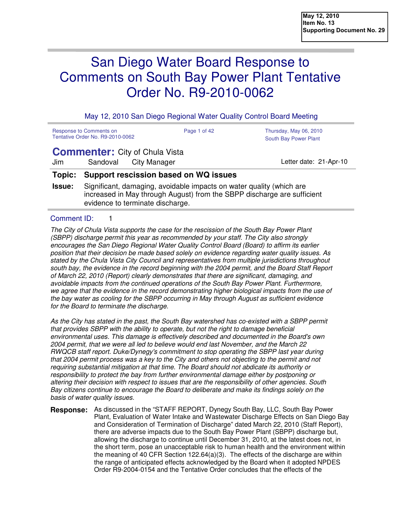# San Diego Water Board Response to Comments on South Bay Power Plant Tentative Order No. R9-2010-0062

May 12, 2010 San Diego Regional Water Quality Control Board Meeting

| Response to Comments on<br>Tentative Order No. R9-2010-0062 | Page 1 of 42 | Thursday, May 06, 2010<br>South Bay Power Plant |
|-------------------------------------------------------------|--------------|-------------------------------------------------|
|                                                             |              |                                                 |

## **Commenter:** City of Chula Vista

Jim Sandoval City Manager Contract Contract Contract Contract Contract Letter date: 21-Apr-10

## **Topic: Support rescission based on WQ issues**

**Issue:** Significant, damaging, avoidable impacts on water quality (which are increased in May through August) from the SBPP discharge are sufficient evidence to terminate discharge.

## Comment ID: 1

The City of Chula Vista supports the case for the rescission of the South Bay Power Plant (SBPP) discharge permit this year as recommended by your staff. The City also strongly encourages the San Diego Regional Water Quality Control Board (Board) to affirm its earlier position that their decision be made based solely on evidence regarding water quality issues. As stated by the Chula Vista City Council and representatives from multiple jurisdictions throughout south bay, the evidence in the record beginning with the 2004 permit, and the Board Staff Report of March 22, 2010 (Report) clearly demonstrates that there are significant, damaging, and avoidable impacts from the continued operations of the South Bay Power Plant. Furthermore, we agree that the evidence in the record demonstrating higher biological impacts from the use of the bay water as cooling for the SBPP occurring in May through August as sufficient evidence for the Board to terminate the discharge.

As the City has stated in the past, the South Bay watershed has co-existed with a SBPP permit that provides SBPP with the ability to operate, but not the right to damage beneficial environmental uses. This damage is effectively described and documented in the Board's own 2004 permit, that we were all led to believe would end last November, and the March 22 RWQCB staff report. Duke/Dynegy's commitment to stop operating the SBPP last year during that 2004 permit process was a key to the City and others not objecting to the permit and not requiring substantial mitigation at that time. The Board should not abdicate its authority or responsibility to protect the bay from further environmental damage either by postponing or altering their decision with respect to issues that are the responsibility of other agencies. South Bay citizens continue to encourage the Board to deliberate and make its findings solely on the basis of water quality issues.

As discussed in the "STAFF REPORT, Dynegy South Bay, LLC, South Bay Power Plant, Evaluation of Water Intake and Wastewater Discharge Effects on San Diego Bay and Consideration of Termination of Discharge" dated March 22, 2010 (Staff Report), there are adverse impacts due to the South Bay Power Plant (SBPP) discharge but, allowing the discharge to continue until December 31, 2010, at the latest does not, in the short term, pose an unacceptable risk to human health and the environment within the meaning of 40 CFR Section  $122.64(a)(3)$ . The effects of the discharge are within the range of anticipated effects acknowledged by the Board when it adopted NPDES Order R9-2004-0154 and the Tentative Order concludes that the effects of the **Response:**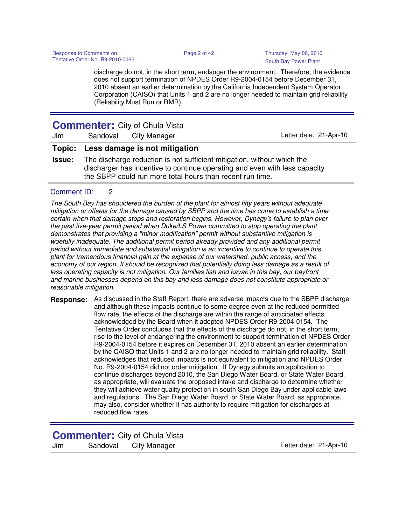discharge do not, in the short term, endanger the environment. Therefore, the evidence does not support termination of NPDES Order R9-2004-0154 before December 31, 2010 absent an earlier determination by the California Independent System Operator Corporation (CAISO) that Units 1 and 2 are no longer needed to maintain grid reliability (Reliability Must Run or RMR).

| <b>Commenter:</b> City of Chula Vista |  |                                      |  |  |                        |  |  |
|---------------------------------------|--|--------------------------------------|--|--|------------------------|--|--|
| Jim                                   |  | Sandoval City Manager                |  |  | Letter date: 21-Apr-10 |  |  |
|                                       |  | Topic: Less damage is not mitigation |  |  |                        |  |  |

**Issue:** The discharge reduction is not sufficient mitigation, without which the discharger has incentive to continue operating and even with less capacity the SBPP could run more total hours than recent run time.

## Comment ID: 2

The South Bay has shouldered the burden of the plant for almost fifty years without adequate mitigation or offsets for the damage caused by SBPP and the time has come to establish a time certain when that damage stops and restoration begins. However, Dynegy's failure to plan over the past five-year permit period when Duke/LS Power committed to stop operating the plant demonstrates that providing a "minor modification" permit without substantive mitigation is woefully inadequate. The additional permit period already provided and any additional permit period without immediate and substantial mitigation is an incentive to continue to operate this plant for tremendous financial gain at the expense of our watershed, public access, and the economy of our region. It should be recognized that potentially doing less damage as a result of less operating capacity is not mitigation. Our families fish and kayak in this bay, our bayfront and marine businesses depend on this bay and less damage does not constitute appropriate or reasonable mitigation.

**Response:** As discussed in the Staff Report, there are adverse impacts due to the SBPP discharge and although these impacts continue to some degree even at the reduced permitted flow rate, the effects of the discharge are within the range of anticipated effects acknowledged by the Board when it adopted NPDES Order R9-2004-0154. The Tentative Order concludes that the effects of the discharge do not, in the short term, rise to the level of endangering the environment to support termination of NPDES Order R9-2004-0154 before it expires on December 31, 2010 absent an earlier determination by the CAISO that Units 1 and 2 are no longer needed to maintain grid reliability. Staff acknowledges that reduced impacts is not equivalent to mitigation and NPDES Order No. R9-2004-0154 did not order mitigation. If Dynegy submits an application to continue discharges beyond 2010, the San Diego Water Board, or State Water Board, as appropriate, will evaluate the proposed intake and discharge to determine whether they will achieve water quality protection in south San Diego Bay under applicable laws and regulations. The San Diego Water Board, or State Water Board, as appropriate, may also, consider whether it has authority to require mitigation for discharges at reduced flow rates.

**Commenter:** City of Chula Vista

| Jim | Sandoval | City Manager |
|-----|----------|--------------|
|-----|----------|--------------|

Letter date: 21-Apr-10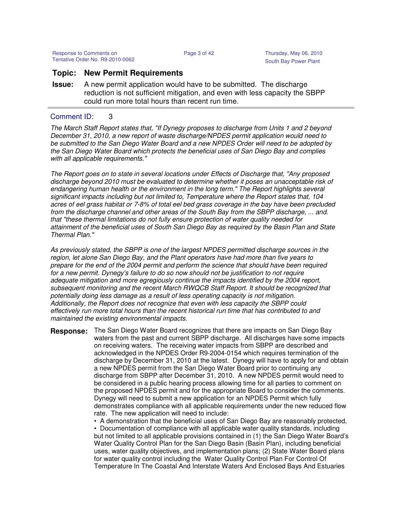## **Topic: New Permit Requirements**

**Issue:** A new permit application would have to be submitted. The discharge reduction is not sufficient mitigation, and even with less capacity the SBPP could run more total hours than recent run time.

## Comment ID: 3

The March Staff Report states that, "If Dynegy proposes to discharge from Units 1 and 2 beyond December 31, 2010, a new report of waste discharge/NPDES permit application would need to be submitted to the San Diego Water Board and a new NPDES Order will need to be adopted by the San Diego Water Board which protects the beneficial uses of San Diego Bay and complies with all applicable requirements."

The Report goes on to state in several locations under Effects of Discharge that, "Any proposed discharge beyond 2010 must be evaluated to determine whether it poses an unacceptable risk of endangering human health or the environment in the long term." The Report highlights several significant impacts including but not limited to, Temperature where the Report states that, 104 acres of eel grass habitat or 7-8% of total eel bed grass coverage in the bay have been precluded from the discharge channel and other areas of the South Bay from the SBPP discharge, ... and. that "these thermal limitations do not fully ensure protection of water quality needed for attainment of the beneficial uses of South San Diego Bay as required by the Basin Plan and State Thermal Plan."

As previously stated, the SBPP is one of the largest NPDES permitted discharge sources in the region, let alone San Diego Bay, and the Plant operators have had more than five years to prepare for the end of the 2004 permit and perform the science that should have been required for a new permit. Dynegy's failure to do so now should not be justification to not require adequate mitigation and more egregiously continue the impacts identified by the 2004 report, subsequent monitoring and the recent March RWQCB Staff Report. It should be recognized that potentially doing less damage as a result of less operating capacity is not mitigation. Additionally, the Report does not recognize that even with less capacity the SBPP could effectively run more total hours than the recent historical run time that has contributed to and maintained the existing environmental impacts.

**Response:** The San Diego Water Board recognizes that there are impacts on San Diego Bay waters from the past and current SBPP discharge. All discharges have some impacts on receiving waters. The receiving water impacts from SBPP are described and acknowledged in the NPDES Order R9-2004-0154 which requires termination of the discharge by December 31, 2010 at the latest. Dynegy will have to apply for and obtain a new NPDES permit from the San Diego Water Board prior to continuing any discharge from SBPP after December 31, 2010. A new NPDES permit would need to be considered in a public hearing process allowing time for all parties to comment on the proposed NPDES permit and for the appropriate Board to consider the comments. Dynegy will need to submit a new application for an NPDES Permit which fully demonstrates compliance with all applicable requirements under the new reduced flow rate. The new application will need to include:

• A demonstration that the beneficial uses of San Diego Bay are reasonably protected,

• Documentation of compliance with all applicable water quality standards, including but not limited to all applicable provisions contained in (1) the San Diego Water Board's Water Quality Control Plan for the San Diego Basin (Basin Plan), including beneficial uses, water quality objectives, and implementation plans; (2) State Water Board plans for water quality control including the Water Quality Control Plan For Control Of Temperature In The Coastal And Interstate Waters And Enclosed Bays And Estuaries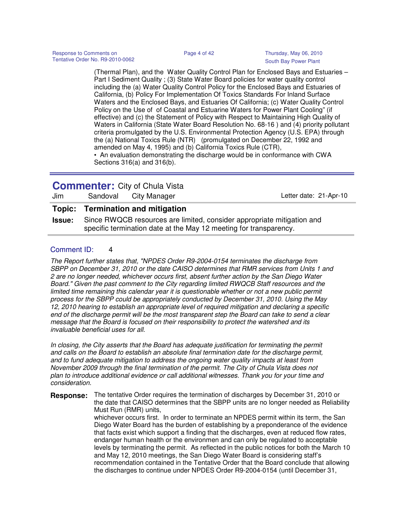(Thermal Plan), and the Water Quality Control Plan for Enclosed Bays and Estuaries – Part I Sediment Quality ; (3) State Water Board policies for water quality control including the (a) Water Quality Control Policy for the Enclosed Bays and Estuaries of California, (b) Policy For Implementation Of Toxics Standards For Inland Surface Waters and the Enclosed Bays, and Estuaries Of California; (c) Water Quality Control Policy on the Use of of Coastal and Estuarine Waters for Power Plant Cooling" (if effective) and (c) the Statement of Policy with Respect to Maintaining High Quality of Waters in California (State Water Board Resolution No. 68-16 ) and (4) priority pollutant criteria promulgated by the U.S. Environmental Protection Agency (U.S. EPA) through the (a) National Toxics Rule (NTR) (promulgated on December 22, 1992 and amended on May 4, 1995) and (b) California Toxics Rule (CTR), • An evaluation demonstrating the discharge would be in conformance with CWA

Sections 316(a) and 316(b).

## **Commenter:** City of Chula Vista

| Jim | Sandoval City Manager             | Letter date: 21-Apr-10 |
|-----|-----------------------------------|------------------------|
|     | Topic: Termination and mitigation |                        |

**Issue:** Since RWQCB resources are limited, consider appropriate mitigation and specific termination date at the May 12 meeting for transparency.

## Comment ID: 4

The Report further states that, "NPDES Order R9-2004-0154 terminates the discharge from SBPP on December 31, 2010 or the date CAISO determines that RMR services from Units 1 and 2 are no longer needed, whichever occurs first, absent further action by the San Diego Water Board." Given the past comment to the City regarding limited RWQCB Staff resources and the limited time remaining this calendar year it is questionable whether or not a new public permit process for the SBPP could be appropriately conducted by December 31, 2010. Using the May 12, 2010 hearing to establish an appropriate level of required mitigation and declaring a specific end of the discharge permit will be the most transparent step the Board can take to send a clear message that the Board is focused on their responsibility to protect the watershed and its invaluable beneficial uses for all.

In closing, the City asserts that the Board has adequate justification for terminating the permit and calls on the Board to establish an absolute final termination date for the discharge permit, and to fund adequate mitigation to address the ongoing water quality impacts at least from November 2009 through the final termination of the permit. The City of Chula Vista does not plan to introduce additional evidence or call additional witnesses. Thank you for your time and consideration.

**Response:** The tentative Order requires the termination of discharges by December 31, 2010 or the date that CAISO determines that the SBPP units are no longer needed as Reliability Must Run (RMR) units, whichever occurs first. In order to terminate an NPDES permit within its term, the San Diego Water Board has the burden of establishing by a preponderance of the evidence that facts exist which support a finding that the discharges, even at reduced flow rates, endanger human health or the environmen and can only be regulated to acceptable levels by terminating the permit. As reflected in the public notices for both the March 10 and May 12, 2010 meetings, the San Diego Water Board is considering staff's recommendation contained in the Tentative Order that the Board conclude that allowing the discharges to continue under NPDES Order R9-2004-0154 (until December 31,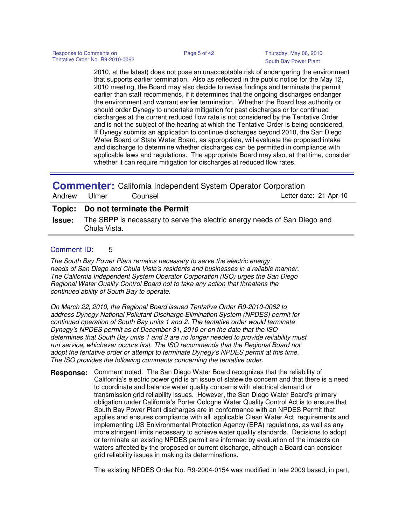2010, at the latest) does not pose an unacceptable risk of endangering the environment that supports earlier termination. Also as reflected in the public notice for the May 12, 2010 meeting, the Board may also decide to revise findings and terminate the permit earlier than staff recommends, if it determines that the ongoing discharges endanger the environment and warrant earlier termination. Whether the Board has authority or should order Dynegy to undertake mitigation for past discharges or for continued discharges at the current reduced flow rate is not considered by the Tentative Order and is not the subject of the hearing at which the Tentative Order is being considered. If Dynegy submits an application to continue discharges beyond 2010, the San Diego Water Board or State Water Board, as appropriate, will evaluate the proposed intake and discharge to determine whether discharges can be permitted in compliance with applicable laws and regulations. The appropriate Board may also, at that time, consider whether it can require mitigation for discharges at reduced flow rates.

| <b>Commenter:</b> California Independent System Operator Corporation |              |                                    |                                                                                         |  |  |
|----------------------------------------------------------------------|--------------|------------------------------------|-----------------------------------------------------------------------------------------|--|--|
| Andrew                                                               | Ulmer        | Counsel                            | Letter date: 21-Apr-10                                                                  |  |  |
|                                                                      |              | Topic: Do not terminate the Permit |                                                                                         |  |  |
|                                                                      | Chula Vista. |                                    | <b>Issue:</b> The SBPP is necessary to serve the electric energy needs of San Diego and |  |  |

## Comment ID: 5

The South Bay Power Plant remains necessary to serve the electric energy needs of San Diego and Chula Vista's residents and businesses in a reliable manner. The California Independent System Operator Corporation (ISO) urges the San Diego Regional Water Quality Control Board not to take any action that threatens the continued ability of South Bay to operate.

On March 22, 2010, the Regional Board issued Tentative Order R9-2010-0062 to address Dynegy National Pollutant Discharge Elimination System (NPDES) permit for continued operation of South Bay units 1 and 2. The tentative order would terminate Dynegy's NPDES permit as of December 31, 2010 or on the date that the ISO determines that South Bay units 1 and 2 are no longer needed to provide reliability must run service, whichever occurs first. The ISO recommends that the Regional Board not adopt the tentative order or attempt to terminate Dynegy's NPDES permit at this time. The ISO provides the following comments concerning the tentative order.

**Response:** Comment noted. The San Diego Water Board recognizes that the reliability of California's electric power grid is an issue of statewide concern and that there is a need to coordinate and balance water quality concerns with electrical demand or transmission grid reliability issues. However, the San Diego Water Board's primary obligation under California's Porter Cologne Water Quality Control Act is to ensure that South Bay Power Plant discharges are in conformance with an NPDES Permit that applies and ensures compliance with all applicable Clean Water Act requirements and implementing US Enivironmental Protection Agency (EPA) regulations, as well as any more stringent limits necessary to achieve water quality standards. Decisions to adopt or terminate an existing NPDES permit are informed by evaluation of the impacts on waters affected by the proposed or current discharge, although a Board can consider grid reliability issues in making its determinations.

The existing NPDES Order No. R9-2004-0154 was modified in late 2009 based, in part,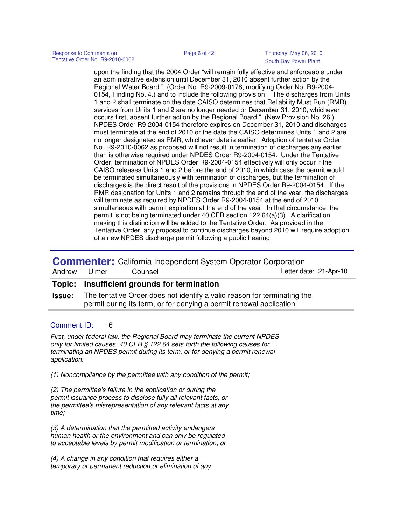upon the finding that the 2004 Order "will remain fully effective and enforceable under an administrative extension until December 31, 2010 absent further action by the Regional Water Board." (Order No. R9-2009-0178, modifying Order No. R9-2004- 0154, Finding No. 4.) and to include the following provision: "The discharges from Units 1 and 2 shall terminate on the date CAISO determines that Reliability Must Run (RMR) services from Units 1 and 2 are no longer needed or December 31, 2010, whichever occurs first, absent further action by the Regional Board." (New Provision No. 26.) NPDES Order R9-2004-0154 therefore expires on December 31, 2010 and discharges must terminate at the end of 2010 or the date the CAISO determines Units 1 and 2 are no longer designated as RMR, whichever date is earlier. Adoption of tentative Order No. R9-2010-0062 as proposed will not result in termination of discharges any earlier than is otherwise required under NPDES Order R9-2004-0154. Under the Tentative Order, termination of NPDES Order R9-2004-0154 effectively will only occur if the CAISO releases Units 1 and 2 before the end of 2010, in which case the permit would be terminated simultaneously with termination of discharges, but the termination of discharges is the direct result of the provisions in NPDES Order R9-2004-0154. If the RMR designation for Units 1 and 2 remains through the end of the year, the discharges will terminate as required by NPDES Order R9-2004-0154 at the end of 2010 simultaneous with permit expiration at the end of the year. In that circumstance, the permit is not being terminated under 40 CFR section 122.64(a)(3). A clarification making this distinction will be added to the Tentative Order. As provided in the Tentative Order, any proposal to continue discharges beyond 2010 will require adoption of a new NPDES discharge permit following a public hearing.

**Commenter:** California Independent System Operator Corporation

| Andrew | Ulmer | Counsel                                     |  | Letter date: 21-Apr-10                                                                                                                                         |
|--------|-------|---------------------------------------------|--|----------------------------------------------------------------------------------------------------------------------------------------------------------------|
|        |       | Topic: Insufficient grounds for termination |  |                                                                                                                                                                |
|        |       |                                             |  | <b>Issue:</b> The tentative Order does not identify a valid reason for terminating the<br>permit during its term, or for denying a permit renewal application. |

## Comment ID: 6

First, under federal law, the Regional Board may terminate the current NPDES only for limited causes. 40 CFR § 122.64 sets forth the following causes for terminating an NPDES permit during its term, or for denying a permit renewal application.

(1) Noncompliance by the permittee with any condition of the permit;

(2) The permittee's failure in the application or during the permit issuance process to disclose fully all relevant facts, or the permittee's misrepresentation of any relevant facts at any time;

(3) A determination that the permitted activity endangers human health or the environment and can only be regulated to acceptable levels by permit modification or termination; or

(4) A change in any condition that requires either a temporary or permanent reduction or elimination of any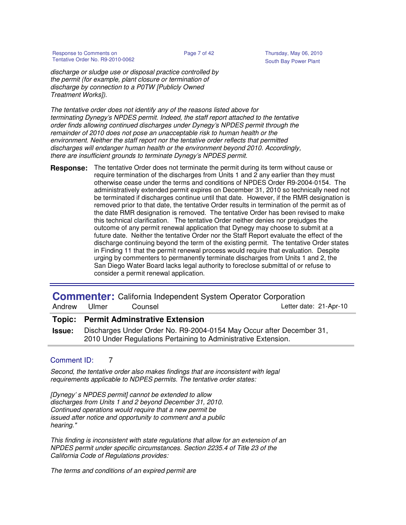Response to Comments on **Page 7 of 42** Thursday, May 06, 2010 Tentative Order No. R9-2010-0062 South Bay Power Plant

discharge or sludge use or disposal practice controlled by the permit (for example, plant closure or termination of discharge by connection to a P0TW [Publicly Owned Treatment Works]).

The tentative order does not identify any of the reasons listed above for terminating Dynegy's NPDES permit. Indeed, the staff report attached to the tentative order finds allowing continued discharges under Dynegy's NPDES permit through the remainder of 2010 does not pose an unacceptable risk to human health or the environment. Neither the staff report nor the tentative order reflects that permitted discharges will endanger human health or the environment beyond 2010. Accordingly, there are insufficient grounds to terminate Dynegy's NPDES permit.

**Response:** The tentative Order does not terminate the permit during its term without cause or require termination of the discharges from Units 1 and 2 any earlier than they must otherwise cease under the terms and conditions of NPDES Order R9-2004-0154. The administratively extended permit expires on December 31, 2010 so technically need not be terminated if discharges continue until that date. However, if the RMR designation is removed prior to that date, the tentative Order results in termination of the permit as of the date RMR designation is removed. The tentative Order has been revised to make this technical clarification. The tentative Order neither denies nor prejudges the outcome of any permit renewal application that Dynegy may choose to submit at a future date. Neither the tentative Order nor the Staff Report evaluate the effect of the discharge continuing beyond the term of the existing permit. The tentative Order states in Finding 11 that the permit renewal process would require that evaluation. Despite urging by commenters to permanently terminate discharges from Units 1 and 2, the San Diego Water Board lacks legal authority to foreclose submittal of or refuse to consider a permit renewal application.

| Andrew        | Ulmer | Counsel                                      | <b>Commenter:</b> California Independent System Operator Corporation<br>Letter date: 21-Apr-10                                         |
|---------------|-------|----------------------------------------------|----------------------------------------------------------------------------------------------------------------------------------------|
|               |       | <b>Topic: Permit Adminstrative Extension</b> |                                                                                                                                        |
| <b>Issue:</b> |       |                                              | Discharges Under Order No. R9-2004-0154 May Occur after December 31,<br>2010 Under Regulations Pertaining to Administrative Extension. |

## Comment ID: 7

Second, the tentative order also makes findings that are inconsistent with legal requirements applicable to NDPES permits. The tentative order states:

[Dynegy' s NPDES permit] cannot be extended to allow discharges from Units 1 and 2 beyond December 31, 2010. Continued operations would require that a new permit be issued after notice and opportunity to comment and a public hearing."

This finding is inconsistent with state regulations that allow for an extension of an NPDES permit under specific circumstances. Section 2235.4 of Title 23 of the California Code of Regulations provides:

The terms and conditions of an expired permit are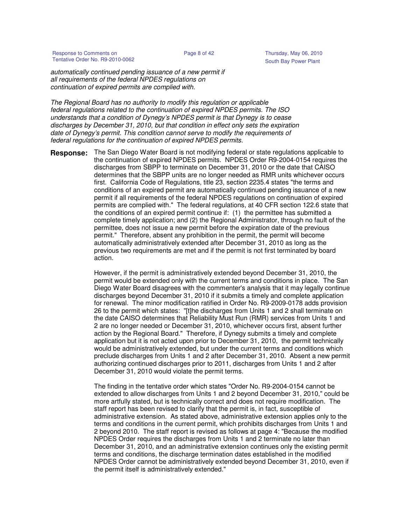Response to Comments on **Page 8 of 42** Thursday, May 06, 2010 Tentative Order No. R9-2010-0062 South Bay Power Plant

automatically continued pending issuance of a new permit if all requirements of the federal NPDES regulations on continuation of expired permits are complied with.

The Regional Board has no authority to modify this regulation or applicable federal regulations related to the continuation of expired NPDES permits. The ISO understands that a condition of Dynegy's NPDES permit is that Dynegy is to cease discharges by December 31, 2010, but that condition in effect only sets the expiration date of Dynegy's permit. This condition cannot serve to modify the requirements of federal regulations for the continuation of expired NPDES permits.

The San Diego Water Board is not modifying federal or state regulations applicable to the continuation of expired NPDES permits. NPDES Order R9-2004-0154 requires the discharges from SBPP to terminate on December 31, 2010 or the date that CAISO determines that the SBPP units are no longer needed as RMR units whichever occurs first. California Code of Regulations, title 23, section 2235.4 states "the terms and conditions of an expired permit are automatically continued pending issuance of a new permit if all requirements of the federal NPDES regulations on continuation of expired permits are complied with." The federal regulations, at 40 CFR section 122.6 state that the conditions of an expired permit continue if: (1) the permittee has submitted a complete timely application; and (2) the Regional Administrator, through no fault of the permittee, does not issue a new permit before the expiration date of the previous permit." Therefore, absent any prohibition in the permit, the permit will become automatically administratively extended after December 31, 2010 as long as the previous two requirements are met and if the permit is not first terminated by board action. **Response:**

> However, if the permit is administratively extended beyond December 31, 2010, the permit would be extended only with the current terms and conditions in place. The San Diego Water Board disagrees with the commenter's analysis that it may legally continue discharges beyond December 31, 2010 if it submits a timely and complete application for renewal. The minor modification ratified in Order No. R9-2009-0178 adds provision 26 to the permit which states: "[t]he discharges from Units 1 and 2 shall terminate on the date CAISO determines that Reliability Must Run (RMR) services from Units 1 and 2 are no longer needed or December 31, 2010, whichever occurs first, absent further action by the Regional Board." Therefore, if Dynegy submits a timely and complete application but it is not acted upon prior to December 31, 2010, the permit technically would be administratively extended, but under the current terms and conditions which preclude discharges from Units 1 and 2 after December 31, 2010. Absent a new permit authorizing continued discharges prior to 2011, discharges from Units 1 and 2 after December 31, 2010 would violate the permit terms.

> The finding in the tentative order which states "Order No. R9-2004-0154 cannot be extended to allow discharges from Units 1 and 2 beyond December 31, 2010," could be more artfully stated, but is technically correct and does not require modification. The staff report has been revised to clarify that the permit is, in fact, susceptible of administrative extension. As stated above, administrative extension applies only to the terms and conditions in the current permit, which prohibits discharges from Units 1 and 2 beyond 2010. The staff report is revised as follows at page 4: "Because the modified NPDES Order requires the discharges from Units 1 and 2 terminate no later than December 31, 2010, and an administrative extension continues only the existing permit terms and conditions, the discharge termination dates established in the modified NPDES Order cannot be administratively extended beyond December 31, 2010, even if the permit itself is administratively extended."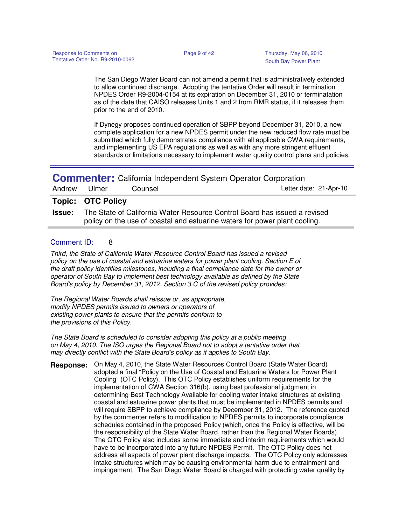The San Diego Water Board can not amend a permit that is administratively extended to allow continued discharge. Adopting the tentative Order will result in termination NPDES Order R9-2004-0154 at its expiration on December 31, 2010 or terminatation as of the date that CAISO releases Units 1 and 2 from RMR status, if it releases them prior to the end of 2010.

If Dynegy proposes continued operation of SBPP beyond December 31, 2010, a new complete application for a new NPDES permit under the new reduced flow rate must be submitted which fully demonstrates compliance with all applicable CWA requirements, and implementing US EPA regulations as well as with any more stringent effluent standards or limitations necessary to implement water quality control plans and policies.

| <b>Commenter:</b> California Independent System Operator Corporation |                          |         |                                                                           |  |  |
|----------------------------------------------------------------------|--------------------------|---------|---------------------------------------------------------------------------|--|--|
|                                                                      | Andrew Ulmer             | Counsel | Letter date: 21-Apr-10                                                    |  |  |
|                                                                      | <b>Topic: OTC Policy</b> |         |                                                                           |  |  |
| <u> La a cra c</u>                                                   |                          |         | The Ctate of Colifornia Water Deseures Central Deard has issued a revised |  |  |

**Issue:** The State of California Water Resource Control Board has issued a revised policy on the use of coastal and estuarine waters for power plant cooling.

## Comment ID: 8

Third, the State of California Water Resource Control Board has issued a revised policy on the use of coastal and estuarine waters for power plant cooling. Section E of the draft policy identifies milestones, including a final compliance date for the owner or operator of South Bay to implement best technology available as defined by the State Board's policy by December 31, 2012. Section 3.C of the revised policy provides:

The Regional Water Boards shall reissue or, as appropriate, modify NPDES permits issued to owners or operators of existing power plants to ensure that the permits conform to the provisions of this Policy.

The State Board is scheduled to consider adopting this policy at a public meeting on May 4, 2010. The ISO urges the Regional Board not to adopt a tentative order that may directly conflict with the State Board's policy as it applies to South Bay.

**Response:** On May 4, 2010, the State Water Resources Control Board (State Water Board) adopted a final "Policy on the Use of Coastal and Estuarine Waters for Power Plant Cooling" (OTC Policy). This OTC Policy establishes uniform requirements for the implementation of CWA Section 316(b), using best professional judgment in determining Best Technology Available for cooling water intake structures at existing coastal and estuarine power plants that must be implemented in NPDES permits and will require SBPP to achieve compliance by December 31, 2012. The reference quoted by the commenter refers to modification to NPDES permits to incorporate compliance schedules contained in the proposed Policy (which, once the Policy is effective, will be the responsibility of the State Water Board, rather than the Regional Water Boards). The OTC Policy also includes some immediate and interim requirements which would have to be incorporated into any future NPDES Permit. The OTC Policy does not address all aspects of power plant discharge impacts. The OTC Policy only addresses intake structures which may be causing environmental harm due to entrainment and impingement. The San Diego Water Board is charged with protecting water quality by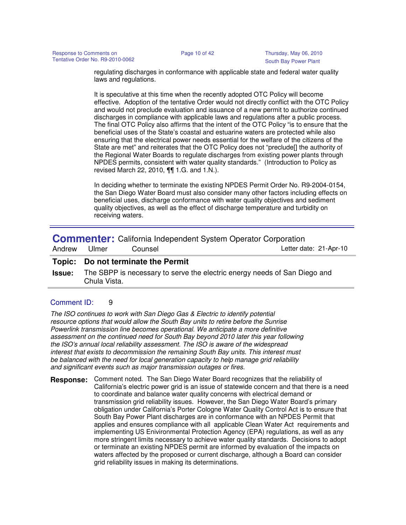regulating discharges in conformance with applicable state and federal water quality laws and regulations.

It is speculative at this time when the recently adopted OTC Policy will become effective. Adoption of the tentative Order would not directly conflict with the OTC Policy and would not preclude evaluation and issuance of a new permit to authorize continued discharges in compliance with applicable laws and regulations after a public process. The final OTC Policy also affirms that the intent of the OTC Policy "is to ensure that the beneficial uses of the State's coastal and estuarine waters are protected while also ensuring that the electrical power needs essential for the welfare of the citizens of the State are met" and reiterates that the OTC Policy does not "preclude[] the authority of the Regional Water Boards to regulate discharges from existing power plants through NPDES permits, consistent with water quality standards." (Introduction to Policy as revised March 22, 2010, ¶¶ 1.G. and 1.N.).

In deciding whether to terminate the existing NPDES Permit Order No. R9-2004-0154, the San Diego Water Board must also consider many other factors including effects on beneficial uses, discharge conformance with water quality objectives and sediment quality objectives, as well as the effect of discharge temperature and turbidity on receiving waters.

**Commenter:** California Independent System Operator Corporation

| Andrew | Ulmer | Counsel |
|--------|-------|---------|
|        |       |         |

Letter date: 21-Apr-10

## **Topic: Do not terminate the Permit**

**Issue:** The SBPP is necessary to serve the electric energy needs of San Diego and Chula Vista.

## Comment ID: 9

The ISO continues to work with San Diego Gas & Electric to identify potential resource options that would allow the South Bay units to retire before the Sunrise Powerlink transmission line becomes operational. We anticipate a more definitive assessment on the continued need for South Bay beyond 2010 later this year following the ISO's annual local reliability assessment. The ISO is aware of the widespread interest that exists to decommission the remaining South Bay units. This interest must be balanced with the need for local generation capacity to help manage grid reliability and significant events such as major transmission outages or fires.

**Response:** Comment noted. The San Diego Water Board recognizes that the reliability of California's electric power grid is an issue of statewide concern and that there is a need to coordinate and balance water quality concerns with electrical demand or transmission grid reliability issues. However, the San Diego Water Board's primary obligation under California's Porter Cologne Water Quality Control Act is to ensure that South Bay Power Plant discharges are in conformance with an NPDES Permit that applies and ensures compliance with all applicable Clean Water Act requirements and implementing US Enivironmental Protection Agency (EPA) regulations, as well as any more stringent limits necessary to achieve water quality standards. Decisions to adopt or terminate an existing NPDES permit are informed by evaluation of the impacts on waters affected by the proposed or current discharge, although a Board can consider grid reliability issues in making its determinations.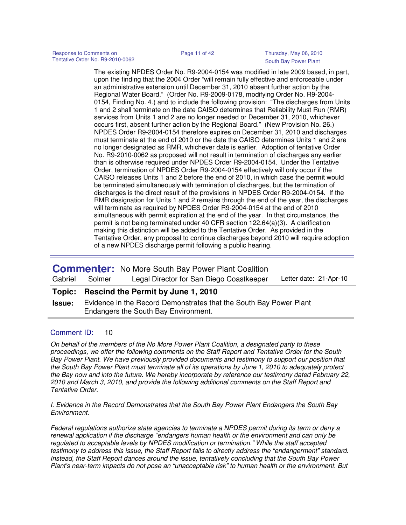The existing NPDES Order No. R9-2004-0154 was modified in late 2009 based, in part, upon the finding that the 2004 Order "will remain fully effective and enforceable under an administrative extension until December 31, 2010 absent further action by the Regional Water Board." (Order No. R9-2009-0178, modifying Order No. R9-2004- 0154, Finding No. 4.) and to include the following provision: "The discharges from Units 1 and 2 shall terminate on the date CAISO determines that Reliability Must Run (RMR) services from Units 1 and 2 are no longer needed or December 31, 2010, whichever occurs first, absent further action by the Regional Board." (New Provision No. 26.) NPDES Order R9-2004-0154 therefore expires on December 31, 2010 and discharges must terminate at the end of 2010 or the date the CAISO determines Units 1 and 2 are no longer designated as RMR, whichever date is earlier. Adoption of tentative Order No. R9-2010-0062 as proposed will not result in termination of discharges any earlier than is otherwise required under NPDES Order R9-2004-0154. Under the Tentative Order, termination of NPDES Order R9-2004-0154 effectively will only occur if the CAISO releases Units 1 and 2 before the end of 2010, in which case the permit would be terminated simultaneously with termination of discharges, but the termination of discharges is the direct result of the provisions in NPDES Order R9-2004-0154. If the RMR designation for Units 1 and 2 remains through the end of the year, the discharges will terminate as required by NPDES Order R9-2004-0154 at the end of 2010 simultaneous with permit expiration at the end of the year. In that circumstance, the permit is not being terminated under 40 CFR section 122.64(a)(3). A clarification making this distinction will be added to the Tentative Order. As provided in the Tentative Order, any proposal to continue discharges beyond 2010 will require adoption of a new NPDES discharge permit following a public hearing.

|               |                                                                                                            | <b>Commenter:</b> No More South Bay Power Plant Coalition |                        |  |  |
|---------------|------------------------------------------------------------------------------------------------------------|-----------------------------------------------------------|------------------------|--|--|
| Gabriel       | Solmer                                                                                                     | Legal Director for San Diego Coastkeeper                  | Letter date: 21-Apr-10 |  |  |
|               |                                                                                                            | Topic: Rescind the Permit by June 1, 2010                 |                        |  |  |
| <b>Issue:</b> | Evidence in the Record Demonstrates that the South Bay Power Plant<br>Endangers the South Bay Environment. |                                                           |                        |  |  |
|               |                                                                                                            |                                                           |                        |  |  |

## Comment ID: 10

On behalf of the members of the No More Power Plant Coalition, a designated party to these proceedings, we offer the following comments on the Staff Report and Tentative Order for the South Bay Power Plant. We have previously provided documents and testimony to support our position that the South Bay Power Plant must terminate all of its operations by June 1, 2010 to adequately protect the Bay now and into the future. We hereby incorporate by reference our testimony dated February 22, 2010 and March 3, 2010, and provide the following additional comments on the Staff Report and Tentative Order.

I. Evidence in the Record Demonstrates that the South Bay Power Plant Endangers the South Bay Environment.

Federal regulations authorize state agencies to terminate a NPDES permit during its term or deny a renewal application if the discharge "endangers human health or the environment and can only be regulated to acceptable levels by NPDES modification or termination." While the staff accepted testimony to address this issue, the Staff Report fails to directly address the "endangerment" standard. Instead, the Staff Report dances around the issue, tentatively concluding that the South Bay Power Plant's near-term impacts do not pose an "unacceptable risk" to human health or the environment. But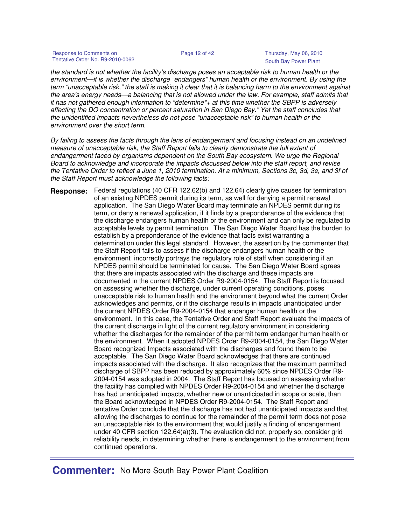the standard is not whether the facility's discharge poses an acceptable risk to human health or the environment—it is whether the discharge "endangers" human health or the environment. By using the term "unacceptable risk," the staff is making it clear that it is balancing harm to the environment against the area's energy needs—a balancing that is not allowed under the law. For example, staff admits that it has not gathered enough information to "determine\*+ at this time whether the SBPP is adversely affecting the DO concentration or percent saturation in San Diego Bay." Yet the staff concludes that the unidentified impacts nevertheless do not pose "unacceptable risk" to human health or the environment over the short term.

By failing to assess the facts through the lens of endangerment and focusing instead on an undefined measure of unacceptable risk, the Staff Report fails to clearly demonstrate the full extent of endangerment faced by organisms dependent on the South Bay ecosystem. We urge the Regional Board to acknowledge and incorporate the impacts discussed below into the staff report, and revise the Tentative Order to reflect a June 1, 2010 termination. At a minimum, Sections 3c, 3d, 3e, and 3f of the Staff Report must acknowledge the following facts:

**Response:** Federal regulations (40 CFR 122.62(b) and 122.64) clearly give causes for termination of an existing NPDES permit during its term, as well for denying a permit renewal application. The San Diego Water Board may terminate an NPDES permit during its term, or deny a renewal application, if it finds by a preponderance of the evidence that the discharge endangers human heatlh or the environment and can only be regulated to acceptable levels by permit termination. The San Diego Water Board has the burden to establish by a preponderance of the evidence that facts exist warranting a determination under this legal standard. However, the assertion by the commenter that the Staff Report fails to assess if the discharge endangers human health or the environment incorrectly portrays the regulatory role of staff when considering if an NPDES permit should be terminated for cause. The San Diego Water Board agrees that there are impacts associated with the discharge and these impacts are documented in the current NPDES Order R9-2004-0154. The Staff Report is focused on assessing whether the discharge, under current operating conditions, poses unacceptable risk to human health and the environment beyond what the current Order acknowledges and permits, or if the discharge results in impacts unanticipated under the current NPDES Order R9-2004-0154 that endanger human health or the environment. In this case, the Tentative Order and Staff Report evaluate the impacts of the current discharge in light of the current regulatory environment in considering whether the discharges for the remainder of the permit term endanger human health or the environment. When it adopted NPDES Order R9-2004-0154, the San Diego Water Board recognized Impacts associated with the discharges and found them to be acceptable. The San Diego Water Board acknowledges that there are continued impacts associated with the discharge. It also recognizes that the maximum permitted discharge of SBPP has been reduced by approximately 60% since NPDES Order R9- 2004-0154 was adopted in 2004. The Staff Report has focused on assessing whether the facility has complied with NPDES Order R9-2004-0154 and whether the discharge has had unanticipated impacts, whether new or unanticipated in scope or scale, than the Board acknowledged in NPDES Order R9-2004-0154. The Staff Report and tentative Order conclude that the discharge has not had unanticipated impacts and that allowing the discharges to continue for the remainder of the permit term does not pose an unacceptable risk to the environment that would justify a finding of endangerment under 40 CFR section 122.64(a)(3). The evaluation did not, properly so, consider grid reliability needs, in determining whether there is endangerment to the environment from continued operations.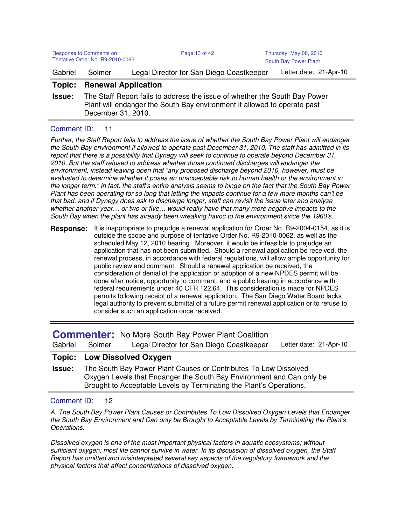| Response to Comments on<br>Tentative Order No. R9-2010-0062 |                                                  | Page 13 of 42                                                                                                                                          | Thursday, May 06, 2010<br>South Bay Power Plant |
|-------------------------------------------------------------|--------------------------------------------------|--------------------------------------------------------------------------------------------------------------------------------------------------------|-------------------------------------------------|
| Gabriel                                                     | Solmer                                           | Legal Director for San Diego Coastkeeper                                                                                                               | Letter date: 21-Apr-10                          |
| Topic:<br><b>Issue:</b>                                     | <b>Renewal Application</b><br>December 31, 2010. | The Staff Report fails to address the issue of whether the South Bay Power<br>Plant will endanger the South Bay environment if allowed to operate past |                                                 |
|                                                             |                                                  |                                                                                                                                                        |                                                 |

## Comment ID: 11

Further, the Staff Report fails to address the issue of whether the South Bay Power Plant will endanger the South Bay environment if allowed to operate past December 31, 2010. The staff has admitted in its report that there is a possibility that Dynegy will seek to continue to operate beyond December 31, 2010. But the staff refused to address whether those continued discharges will endanger the environment, instead leaving open that "any proposed discharge beyond 2010, however, must be evaluated to determine whether it poses an unacceptable risk to human health or the environment in the longer term." In fact, the staff's entire analysis seems to hinge on the fact that the South Bay Power Plant has been operating for so long that letting the impacts continue for a few more months can't be that bad, and if Dynegy does ask to discharge longer, staff can revisit the issue later and analyze whether another year… or two or five… would really have that many more negative impacts to the South Bay when the plant has already been wreaking havoc to the environment since the 1960's.

**Response:** It is inappropriate to prejudge a renewal application for Order No. R9-2004-0154, as it is outside the scope and purpose of tentative Order No. R9-2010-0062, as well as the scheduled May 12, 2010 hearing. Moreover, it would be infeasible to prejudge an application that has not been submitted. Should a renewal application be received, the renewal process, in accordance with federal regulations, will allow ample opportunity for public review and comment. Should a renewal application be received, the consideration of denial of the application or adoption of a new NPDES permit will be done after notice, opportunity to comment, and a public hearing in accordance with federal requirements under 40 CFR 122.64. This consideration is made for NPDES permits following receipt of a renewal application. The San Diego Water Board lacks legal authority to prevent submittal of a future permit renewal application or to refuse to consider such an application once received.

|         |        | <b>Commenter:</b> No More South Bay Power Plant Coalition |                        |
|---------|--------|-----------------------------------------------------------|------------------------|
| Gabriel | Solmer | Legal Director for San Diego Coastkeeper                  | Letter date: 21-Apr-10 |
|         |        | <b>Topic: Low Dissolved Oxygen</b>                        |                        |

**Issue:** The South Bay Power Plant Causes or Contributes To Low Dissolved Oxygen Levels that Endanger the South Bay Environment and Can only be Brought to Acceptable Levels by Terminating the Plant's Operations.

## Comment ID: 12

A. The South Bay Power Plant Causes or Contributes To Low Dissolved Oxygen Levels that Endanger the South Bay Environment and Can only be Brought to Acceptable Levels by Terminating the Plant's Operations.

Dissolved oxygen is one of the most important physical factors in aquatic ecosystems; without sufficient oxygen, most life cannot survive in water. In its discussion of dissolved oxygen, the Staff Report has omitted and misinterpreted several key aspects of the regulatory framework and the physical factors that affect concentrations of dissolved oxygen.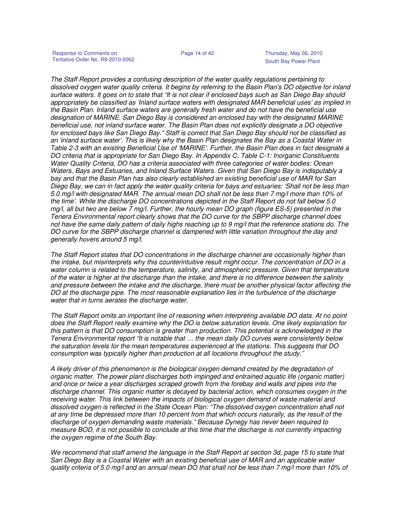The Staff Report provides a confusing description of the water quality regulations pertaining to dissolved oxygen water quality criteria. It begins by referring to the Basin Plan's DO objective for inland surface waters. It goes on to state that "It is not clear if enclosed bays such as San Diego Bay should appropriately be classified as 'Inland surface waters with designated MAR beneficial uses' as implied in the Basin Plan. Inland surface waters are generally fresh water and do not have the beneficial use designation of MARINE. San Diego Bay is considered an enclosed bay with the designated MARINE beneficial use, not inland surface water. The Basin Plan does not explicitly designate a DO objective for enclosed bays like San Diego Bay." Staff is correct that San Diego Bay should not be classified as an 'inland surface water'. This is likely why the Basin Plan designates the Bay as a Coastal Water in Table 2-3 with an existing Beneficial Use of 'MARINE'. Further, the Basin Plan does in fact designate a DO criteria that is appropriate for San Diego Bay. In Appendix C, Table C-1: Inorganic Constituents Water Quality Criteria, DO has a criteria associated with three categories of water bodies: Ocean Waters, Bays and Estuaries, and Inland Surface Waters. Given that San Diego Bay is indisputably a bay and that the Basin Plan has also clearly established an existing beneficial use of MAR for San Diego Bay, we can in fact apply the water quality criteria for bays and estuaries: 'Shall not be less than 5.0 mg/l with designated MAR. The annual mean DO shall not be less than 7 mg/l more than 10% of the time'. While the discharge DO concentrations depicted in the Staff Report do not fall below 5.0 mg/l, all but two are below 7 mg/l. Further, the hourly mean DO graph (figure ES-5) presented in the Tenera Environmental report clearly shows that the DO curve for the SBPP discharge channel does not have the same daily pattern of daily highs reaching up to 9 mg/l that the reference stations do. The DO curve for the SBPP discharge channel is dampened with little variation throughout the day and generally hovers around 5 mg/l.

The Staff Report states that DO concentrations in the discharge channel are occasionally higher than the intake, but misinterprets why this counterintuitive result might occur. The concentration of DO in a water column is related to the temperature, salinity, and atmospheric pressure. Given that temperature of the water is higher at the discharge than the intake, and there is no difference between the salinity and pressure between the intake and the discharge, there must be another physical factor affecting the DO at the discharge pipe. The most reasonable explanation lies in the turbulence of the discharge water that in turns aerates the discharge water.

The Staff Report omits an important line of reasoning when interpreting available DO data. At no point does the Staff Report really examine why the DO is below saturation levels. One likely explanation for this pattern is that DO consumption is greater than production. This potential is acknowledged in the Tenera Environmental report "It is notable that … the mean daily DO curves were consistently below the saturation levels for the mean temperatures experienced at the stations. This suggests that DO consumption was typically higher than production at all locations throughout the study."

A likely driver of this phenomenon is the biological oxygen demand created by the degradation of organic matter. The power plant discharges both impinged and entrained aquatic life (organic matter) and once or twice a year discharges scraped growth from the forebay and walls and pipes into the discharge channel. This organic matter is decayed by bacterial action, which consumes oxygen in the receiving water. This link between the impacts of biological oxygen demand of waste material and dissolved oxygen is reflected in the State Ocean Plan: "The dissolved oxygen concentration shall not at any time be depressed more than 10 percent from that which occurs naturally, as the result of the discharge of oxygen demanding waste materials." Because Dynegy has never been required to measure BOD, it is not possible to conclude at this time that the discharge is not currently impacting the oxygen regime of the South Bay.

We recommend that staff amend the language in the Staff Report at section 3d, page 15 to state that San Diego Bay is a Coastal Water with an existing beneficial use of MAR and an applicable water quality criteria of 5.0 mg/l and an annual mean DO that shall not be less than 7 mg/l more than 10% of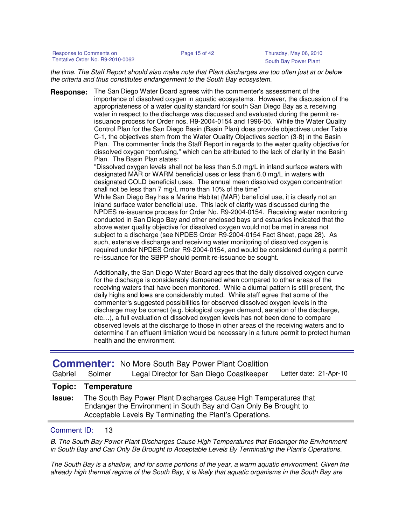Response to Comments on Page 15 of 42 Thursday, May 06, 2010 Tentative Order No. R9-2010-0062 South Bay Power Plant

the time. The Staff Report should also make note that Plant discharges are too often just at or below the criteria and thus constitutes endangerment to the South Bay ecosystem.

**Response:** The San Diego Water Board agrees with the commenter's assessment of the importance of dissolved oxygen in aquatic ecosystems. However, the discussion of the appropriateness of a water quality standard for south San Diego Bay as a receiving water in respect to the discharge was discussed and evaluated during the permit reissuance process for Order nos. R9-2004-0154 and 1996-05. While the Water Quality Control Plan for the San Diego Basin (Basin Plan) does provide objectives under Table C-1, the objectives stem from the Water Quality Objectives section (3-8) in the Basin Plan. The commenter finds the Staff Report in regards to the water quality objective for dissolved oxygen "confusing," which can be attributed to the lack of clarity in the Basin Plan. The Basin Plan states:

> "Dissolved oxygen levels shall not be less than 5.0 mg/L in inland surface waters with designated MAR or WARM beneficial uses or less than 6.0 mg/L in waters with designated COLD beneficial uses. The annual mean dissolved oxygen concentration shall not be less than 7 mg/L more than 10% of the time"

While San Diego Bay has a Marine Habitat (MAR) beneficial use, it is clearly not an inland surface water beneficial use. This lack of clarity was discussed during the NPDES re-issuance process for Order No. R9-2004-0154. Receiving water monitoring conducted in San Diego Bay and other enclosed bays and estuaries indicated that the above water quality objective for dissolved oxygen would not be met in areas not subject to a discharge (see NPDES Order R9-2004-0154 Fact Sheet, page 28). As such, extensive discharge and receiving water monitoring of dissolved oxygen is required under NPDES Order R9-2004-0154, and would be considered during a permit re-issuance for the SBPP should permit re-issuance be sought.

Additionally, the San Diego Water Board agrees that the daily dissolved oxygen curve for the discharge is considerably dampened when compared to other areas of the receiving waters that have been monitored. While a diurnal pattern is still present, the daily highs and lows are considerably muted. While staff agree that some of the commenter's suggested possibilities for observed dissolved oxygen levels in the discharge may be correct (e.g. biological oxygen demand, aeration of the discharge, etc…), a full evaluation of dissolved oxygen levels has not been done to compare observed levels at the discharge to those in other areas of the receiving waters and to determine if an effluent limiation would be necessary in a future permit to protect human health and the environment.

|                |  | <b>Commenter:</b> No More South Bay Power Plant Coalition |                        |
|----------------|--|-----------------------------------------------------------|------------------------|
| Gabriel Solmer |  | Legal Director for San Diego Coastkeeper                  | Letter date: 21-Apr-10 |
|                |  |                                                           |                        |

## **Topic: Temperature**

**Issue:** The South Bay Power Plant Discharges Cause High Temperatures that Endanger the Environment in South Bay and Can Only Be Brought to Acceptable Levels By Terminating the Plant's Operations.

### Comment ID: 13

B. The South Bay Power Plant Discharges Cause High Temperatures that Endanger the Environment in South Bay and Can Only Be Brought to Acceptable Levels By Terminating the Plant's Operations.

The South Bay is a shallow, and for some portions of the year, a warm aquatic environment. Given the already high thermal regime of the South Bay, it is likely that aquatic organisms in the South Bay are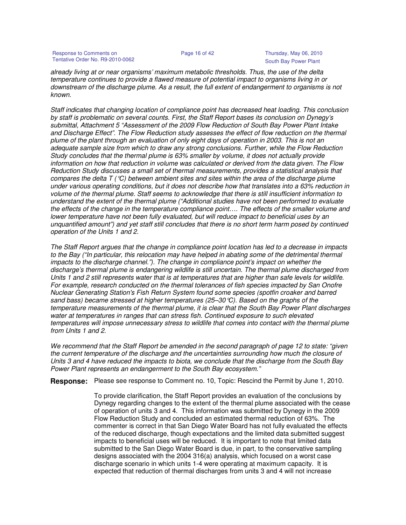Response to Comments on Page 16 of 42 Thursday, May 06, 2010 Tentative Order No. R9-2010-0062 South Bay Power Plant

already living at or near organisms' maximum metabolic thresholds. Thus, the use of the delta temperature continues to provide a flawed measure of potential impact to organisms living in or downstream of the discharge plume. As a result, the full extent of endangerment to organisms is not known.

Staff indicates that changing location of compliance point has decreased heat loading. This conclusion by staff is problematic on several counts. First, the Staff Report bases its conclusion on Dynegy's submittal, Attachment 5 "Assessment of the 2009 Flow Reduction of South Bay Power Plant Intake and Discharge Effect". The Flow Reduction study assesses the effect of flow reduction on the thermal plume of the plant through an evaluation of only eight days of operation in 2003. This is not an adequate sample size from which to draw any strong conclusions. Further, while the Flow Reduction Study concludes that the thermal plume is 63% smaller by volume, it does not actually provide information on how that reduction in volume was calculated or derived from the data given. The Flow Reduction Study discusses a small set of thermal measurements, provides a statistical analysis that compares the delta  $T(\mathcal{C})$  between ambient sites and sites within the area of the discharge plume under various operating conditions, but it does not describe how that translates into a 63% reduction in volume of the thermal plume. Staff seems to acknowledge that there is still insufficient information to understand the extent of the thermal plume ("Additional studies have not been performed to evaluate the effects of the change in the temperature compliance point…. The effects of the smaller volume and lower temperature have not been fully evaluated, but will reduce impact to beneficial uses by an unquantified amount") and yet staff still concludes that there is no short term harm posed by continued operation of the Units 1 and 2.

The Staff Report argues that the change in compliance point location has led to a decrease in impacts to the Bay ("In particular, this relocation may have helped in abating some of the detrimental thermal impacts to the discharge channel."). The change in compliance point's impact on whether the discharge's thermal plume is endangering wildlife is still uncertain. The thermal plume discharged from Units 1 and 2 still represents water that is at temperatures that are higher than safe levels for wildlife. For example, research conducted on the thermal tolerances of fish species impacted by San Onofre Nuclear Generating Station's Fish Return System found some species (spotfin croaker and barred sand bass) became stressed at higher temperatures (25–30°C). Based on the graphs of the temperature measurements of the thermal plume, it is clear that the South Bay Power Plant discharges water at temperatures in ranges that can stress fish. Continued exposure to such elevated temperatures will impose unnecessary stress to wildlife that comes into contact with the thermal plume from Units 1 and 2.

We recommend that the Staff Report be amended in the second paragraph of page 12 to state: "given the current temperature of the discharge and the uncertainties surrounding how much the closure of Units 3 and 4 have reduced the impacts to biota, we conclude that the discharge from the South Bay Power Plant represents an endangerment to the South Bay ecosystem."

**Response:** Please see response to Comment no. 10, Topic: Rescind the Permit by June 1, 2010.

To provide clarification, the Staff Report provides an evaluation of the conclusions by Dynegy regarding changes to the extent of the thermal plume associated with the cease of operation of units 3 and 4. This information was submitted by Dynegy in the 2009 Flow Reduction Study and concluded an estimated thermal reduction of 63%. The commenter is correct in that San Diego Water Board has not fully evaluated the effects of the reduced discharge, though expectations and the limited data submitted suggest impacts to beneficial uses will be reduced. It is important to note that limited data submitted to the San Diego Water Board is due, in part, to the conservative sampling designs associated with the 2004 316(a) analysis, which focused on a worst case discharge scenario in which units 1-4 were operating at maximum capacity. It is expected that reduction of thermal discharges from units 3 and 4 will not increase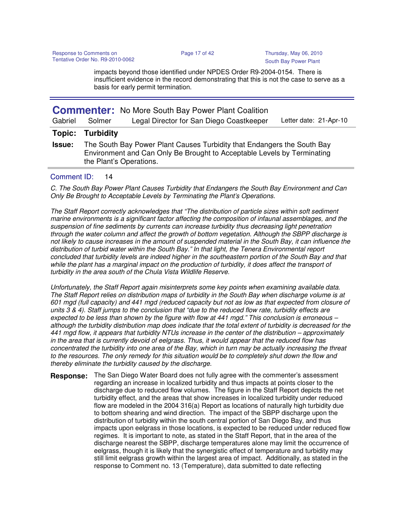impacts beyond those identified under NPDES Order R9-2004-0154. There is insufficient evidence in the record demonstrating that this is not the case to serve as a basis for early permit termination.

| Gabriel       | Solmer           | <b>Commenter:</b> No More South Bay Power Plant Coalition<br>Legal Director for San Diego Coastkeeper                                                                         | Letter date: 21-Apr-10 |
|---------------|------------------|-------------------------------------------------------------------------------------------------------------------------------------------------------------------------------|------------------------|
| Topic:        | <b>Turbidity</b> |                                                                                                                                                                               |                        |
| <b>Issue:</b> |                  | The South Bay Power Plant Causes Turbidity that Endangers the South Bay<br>Environment and Can Only Be Brought to Acceptable Levels by Terminating<br>the Plant's Operations. |                        |

## Comment ID: 14

C. The South Bay Power Plant Causes Turbidity that Endangers the South Bay Environment and Can Only Be Brought to Acceptable Levels by Terminating the Plant's Operations.

The Staff Report correctly acknowledges that "The distribution of particle sizes within soft sediment marine environments is a significant factor affecting the composition of infaunal assemblages, and the suspension of fine sediments by currents can increase turbidity thus decreasing light penetration through the water column and affect the growth of bottom vegetation. Although the SBPP discharge is not likely to cause increases in the amount of suspended material in the South Bay, it can influence the distribution of turbid water within the South Bay." In that light, the Tenera Environmental report concluded that turbidity levels are indeed higher in the southeastern portion of the South Bay and that while the plant has a marginal impact on the production of turbidity, it does affect the transport of turbidity in the area south of the Chula Vista Wildlife Reserve.

Unfortunately, the Staff Report again misinterprets some key points when examining available data. The Staff Report relies on distribution maps of turbidity in the South Bay when discharge volume is at 601 mgd (full capacity) and 441 mgd (reduced capacity but not as low as that expected from closure of units 3 & 4). Staff jumps to the conclusion that "due to the reduced flow rate, turbidity effects are expected to be less than shown by the figure with flow at 441 mgd." This conclusion is erroneous – although the turbidity distribution map does indicate that the total extent of turbidity is decreased for the 441 mgd flow, it appears that turbidity NTUs increase in the center of the distribution – approximately in the area that is currently devoid of eelgrass. Thus, it would appear that the reduced flow has concentrated the turbidity into one area of the Bay, which in turn may be actually increasing the threat to the resources. The only remedy for this situation would be to completely shut down the flow and thereby eliminate the turbidity caused by the discharge.

**Response:** The San Diego Water Board does not fully agree with the commenter's assessment regarding an increase in localized turbidity and thus impacts at points closer to the discharge due to reduced flow volumes. The figure in the Staff Report depicts the net turbidity effect, and the areas that show increases in localized turbidity under reduced flow are modeled in the 2004 316(a) Report as locations of naturally high turbidity due to bottom shearing and wind direction. The impact of the SBPP discharge upon the distribution of turbidity within the south central portion of San Diego Bay, and thus impacts upon eelgrass in those locations, is expected to be reduced under reduced flow regimes. It is important to note, as stated in the Staff Report, that in the area of the discharge nearest the SBPP, discharge temperatures alone may limit the occurrence of eelgrass, though it is likely that the synergistic effect of temperature and turbidity may still limit eelgrass growth within the largest area of impact. Additionally, as stated in the response to Comment no. 13 (Temperature), data submitted to date reflecting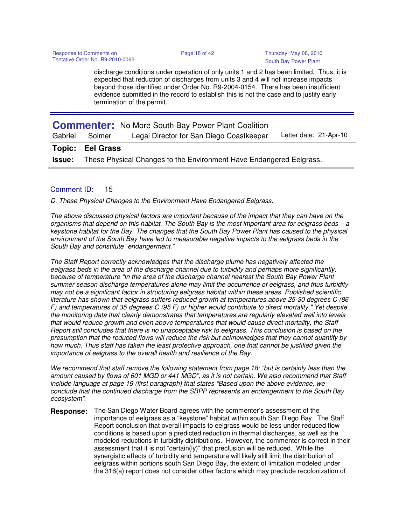discharge conditions under operation of only units 1 and 2 has been limited. Thus, it is expected that reduction of discharges from units 3 and 4 will not increase impacts beyond those identified under Order No. R9-2004-0154. There has been insufficient evidence submitted in the record to establish this is not the case and to justify early termination of the permit.

|         |                                                                                   | <b>Commenter:</b> No More South Bay Power Plant Coalition |                        |
|---------|-----------------------------------------------------------------------------------|-----------------------------------------------------------|------------------------|
| Gabriel | Solmer                                                                            | Legal Director for San Diego Coastkeeper                  | Letter date: 21-Apr-10 |
|         | <b>Topic: Eel Grass</b>                                                           |                                                           |                        |
|         | <b>Issue:</b> These Physical Changes to the Environment Have Endangered Eelgrass. |                                                           |                        |

## Comment ID: 15

D. These Physical Changes to the Environment Have Endangered Eelgrass.

The above discussed physical factors are important because of the impact that they can have on the organisms that depend on this habitat. The South Bay is the most important area for eelgrass beds – a keystone habitat for the Bay. The changes that the South Bay Power Plant has caused to the physical environment of the South Bay have led to measurable negative impacts to the eelgrass beds in the South Bay and constitute "endangerment."

The Staff Report correctly acknowledges that the discharge plume has negatively affected the eelgrass beds in the area of the discharge channel due to turbidity and perhaps more significantly, because of temperature "In the area of the discharge channel nearest the South Bay Power Plant summer season discharge temperatures alone may limit the occurrence of eelgrass, and thus turbidity may not be a significant factor in structuring eelgrass habitat within these areas. Published scientific literature has shown that eelgrass suffers reduced growth at temperatures above 25-30 degrees C (86 F) and temperatures of 35 degrees C (95 F) or higher would contribute to direct mortality." Yet despite the monitoring data that clearly demonstrates that temperatures are regularly elevated well into levels that would reduce growth and even above temperatures that would cause direct mortality, the Staff Report still concludes that there is no unacceptable risk to eelgrass. This conclusion is based on the presumption that the reduced flows will reduce the risk but acknowledges that they cannot quantify by how much. Thus staff has taken the least protective approach, one that cannot be justified given the importance of eelgrass to the overall health and resilience of the Bay.

We recommend that staff remove the following statement from page 18: "but is certainly less than the amount caused by flows of 601 MGD or 441 MGD", as it is not certain. We also recommend that Staff include language at page 19 (first paragraph) that states "Based upon the above evidence, we conclude that the continued discharge from the SBPP represents an endangerment to the South Bay ecosystem".

**Response:** The San Diego Water Board agrees with the commenter's assessment of the importance of eelgrass as a "keystone" habitat within south San Diego Bay. The Staff Report conclusion that overall impacts to eelgrass would be less under reduced flow conditions is based upon a predicted reduction in thermal discharges, as well as the modeled reductions in turbidity distributions. However, the commenter is correct in their assessment that it is not "certain(ly)" that preclusion will be reduced. While the synergistic effects of turbidity and temperature will likely still limit the distribution of eelgrass within portions south San Diego Bay, the extent of limitation modeled under the 316(a) report does not consider other factors which may preclude recolonization of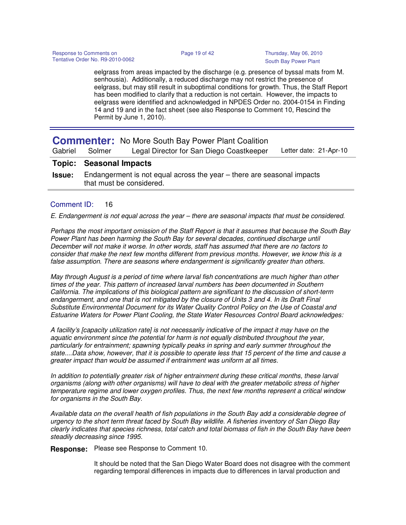eelgrass from areas impacted by the discharge (e.g. presence of byssal mats from M. senhousia). Additionally, a reduced discharge may not restrict the presence of eelgrass, but may still result in suboptimal conditions for growth. Thus, the Staff Report has been modified to clarify that a reduction is not certain. However, the impacts to eelgrass were identified and acknowledged in NPDES Order no. 2004-0154 in Finding 14 and 19 and in the fact sheet (see also Response to Comment 10, Rescind the Permit by June 1, 2010).

|               |                                                                                                    | <b>Commenter:</b> No More South Bay Power Plant Coalition |                        |
|---------------|----------------------------------------------------------------------------------------------------|-----------------------------------------------------------|------------------------|
| Gabriel       | Solmer                                                                                             | Legal Director for San Diego Coastkeeper                  | Letter date: 21-Apr-10 |
|               | <b>Topic: Seasonal Impacts</b>                                                                     |                                                           |                        |
| <b>Issue:</b> | Endangerment is not equal across the year – there are seasonal impacts<br>that must be considered. |                                                           |                        |

## Comment ID: 16

E. Endangerment is not equal across the year – there are seasonal impacts that must be considered.

Perhaps the most important omission of the Staff Report is that it assumes that because the South Bay Power Plant has been harming the South Bay for several decades, continued discharge until December will not make it worse. In other words, staff has assumed that there are no factors to consider that make the next few months different from previous months. However, we know this is a false assumption. There are seasons where endangerment is significantly greater than others.

May through August is a period of time where larval fish concentrations are much higher than other times of the year. This pattern of increased larval numbers has been documented in Southern California. The implications of this biological pattern are significant to the discussion of short-term endangerment, and one that is not mitigated by the closure of Units 3 and 4. In its Draft Final Substitute Environmental Document for its Water Quality Control Policy on the Use of Coastal and Estuarine Waters for Power Plant Cooling, the State Water Resources Control Board acknowledges:

A facility's [capacity utilization rate] is not necessarily indicative of the impact it may have on the aquatic environment since the potential for harm is not equally distributed throughout the year, particularly for entrainment; spawning typically peaks in spring and early summer throughout the state....Data show, however, that it is possible to operate less that 15 percent of the time and cause a greater impact than would be assumed if entrainment was uniform at all times.

In addition to potentially greater risk of higher entrainment during these critical months, these larval organisms (along with other organisms) will have to deal with the greater metabolic stress of higher temperature regime and lower oxygen profiles. Thus, the next few months represent a critical window for organisms in the South Bay.

Available data on the overall health of fish populations in the South Bay add a considerable degree of urgency to the short term threat faced by South Bay wildlife. A fisheries inventory of San Diego Bay clearly indicates that species richness, total catch and total biomass of fish in the South Bay have been steadily decreasing since 1995.

**Response:** Please see Response to Comment 10.

It should be noted that the San Diego Water Board does not disagree with the comment regarding temporal differences in impacts due to differences in larval production and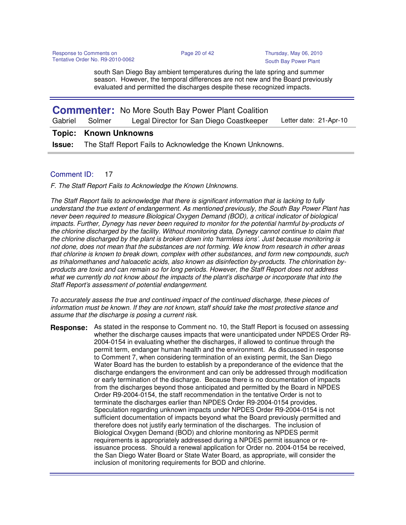south San Diego Bay ambient temperatures during the late spring and summer season. However, the temporal differences are not new and the Board previously evaluated and permitted the discharges despite these recognized impacts.

| Gabriel | Solmer | <b>Commenter:</b> No More South Bay Power Plant Coalition<br>Legal Director for San Diego Coastkeeper | Letter date: 21-Apr-10 |
|---------|--------|-------------------------------------------------------------------------------------------------------|------------------------|
|         |        |                                                                                                       |                        |
|         |        |                                                                                                       |                        |
|         |        | <b>Topic: Known Unknowns</b>                                                                          |                        |

## Comment ID: 17

F. The Staff Report Fails to Acknowledge the Known Unknowns.

The Staff Report fails to acknowledge that there is significant information that is lacking to fully understand the true extent of endangerment. As mentioned previously, the South Bay Power Plant has never been required to measure Biological Oxygen Demand (BOD), a critical indicator of biological impacts. Further, Dynegy has never been required to monitor for the potential harmful by-products of the chlorine discharged by the facility. Without monitoring data, Dynegy cannot continue to claim that the chlorine discharged by the plant is broken down into 'harmless ions'. Just because monitoring is not done, does not mean that the substances are not forming. We know from research in other areas that chlorine is known to break down, complex with other substances, and form new compounds, such as trihalomethanes and haloacetic acids, also known as disinfection by-products. The chlorination byproducts are toxic and can remain so for long periods. However, the Staff Report does not address what we currently do not know about the impacts of the plant's discharge or incorporate that into the Staff Report's assessment of potential endangerment.

To accurately assess the true and continued impact of the continued discharge, these pieces of information must be known. If they are not known, staff should take the most protective stance and assume that the discharge is posing a current risk.

**Response:** As stated in the response to Comment no. 10, the Staff Report is focused on assessing whether the discharge causes impacts that were unanticipated under NPDES Order R9- 2004-0154 in evaluating whether the discharges, if allowed to continue through the permit term, endanger human health and the environment. As discussed in response to Comment 7, when considering termination of an existing permit, the San Diego Water Board has the burden to establish by a preponderance of the evidence that the discharge endangers the environment and can only be addressed through modification or early termination of the discharge. Because there is no documentation of impacts from the discharges beyond those anticipated and permitted by the Board in NPDES Order R9-2004-0154, the staff recommendation in the tentative Order is not to terminate the discharges earlier than NPDES Order R9-2004-0154 provides. Speculation regarding unknown impacts under NPDES Order R9-2004-0154 is not sufficient documentation of impacts beyond what the Board previously permitted and therefore does not justify early termination of the discharges. The inclusion of Biological Oxygen Demand (BOD) and chlorine monitoring as NPDES permit requirements is appropriately addressed during a NPDES permit issuance or reissuance process. Should a renewal application for Order no. 2004-0154 be received, the San Diego Water Board or State Water Board, as appropriate, will consider the inclusion of monitoring requirements for BOD and chlorine.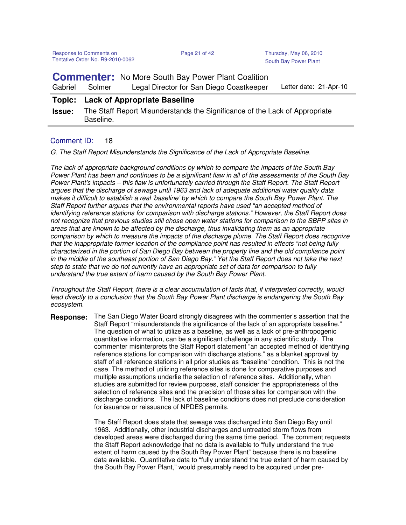**Commenter:** No More South Bay Power Plant Coalition

Gabriel Solmer Legal Director for San Diego Coastkeeper Letter date: 21-Apr-10

## **Topic: Lack of Appropriate Baseline**

**Issue:** The Staff Report Misunderstands the Significance of the Lack of Appropriate Baseline.

## Comment ID: 18

G. The Staff Report Misunderstands the Significance of the Lack of Appropriate Baseline.

The lack of appropriate background conditions by which to compare the impacts of the South Bay Power Plant has been and continues to be a significant flaw in all of the assessments of the South Bay Power Plant's impacts – this flaw is unfortunately carried through the Staff Report. The Staff Report argues that the discharge of sewage until 1963 and lack of adequate additional water quality data makes it difficult to establish a real 'baseline' by which to compare the South Bay Power Plant. The Staff Report further argues that the environmental reports have used "an accepted method of identifying reference stations for comparison with discharge stations." However, the Staff Report does not recognize that previous studies still chose open water stations for comparison to the SBPP sites in areas that are known to be affected by the discharge, thus invalidating them as an appropriate comparison by which to measure the impacts of the discharge plume. The Staff Report does recognize that the inappropriate former location of the compliance point has resulted in effects "not being fully characterized in the portion of San Diego Bay between the property line and the old compliance point in the middle of the southeast portion of San Diego Bay." Yet the Staff Report does not take the next step to state that we do not currently have an appropriate set of data for comparison to fully understand the true extent of harm caused by the South Bay Power Plant.

Throughout the Staff Report, there is a clear accumulation of facts that, if interpreted correctly, would lead directly to a conclusion that the South Bay Power Plant discharge is endangering the South Bay ecosystem.

**Response:** The San Diego Water Board strongly disagrees with the commenter's assertion that the Staff Report "misunderstands the significance of the lack of an appropriate baseline." The question of what to utilize as a baseline, as well as a lack of pre-anthropogenic quantitative information, can be a significant challenge in any scientific study. The commenter misinterprets the Staff Report statement "an accepted method of identifying reference stations for comparison with discharge stations," as a blanket approval by staff of all reference stations in all prior studies as "baseline" condition. This is not the case. The method of utilizing reference sites is done for comparative purposes and multiple assumptions underlie the selection of reference sites. Additionally, when studies are submitted for review purposes, staff consider the appropriateness of the selection of reference sites and the precision of those sites for comparison with the discharge conditions. The lack of baseline conditions does not preclude consideration for issuance or reissuance of NPDES permits.

> The Staff Report does state that sewage was discharged into San Diego Bay until 1963. Additionally, other industrial discharges and untreated storm flows from developed areas were discharged during the same time period. The comment requests the Staff Report acknowledge that no data is available to "fully understand the true extent of harm caused by the South Bay Power Plant" because there is no baseline data available. Quantitative data to "fully understand the true extent of harm caused by the South Bay Power Plant," would presumably need to be acquired under pre-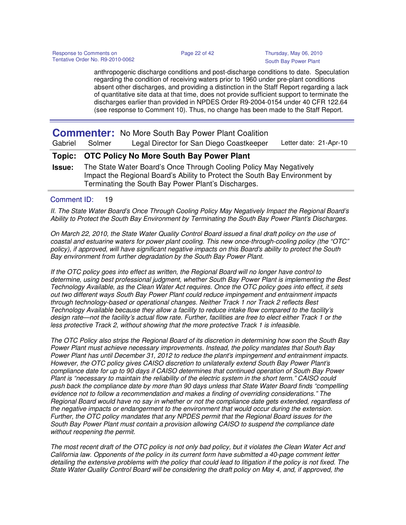anthropogenic discharge conditions and post-discharge conditions to date. Speculation regarding the condition of receiving waters prior to 1960 under pre-plant conditions absent other discharges, and providing a distinction in the Staff Report regarding a lack of quantitative site data at that time, does not provide sufficient support to terminate the discharges earlier than provided in NPDES Order R9-2004-0154 under 40 CFR 122.64 (see response to Comment 10). Thus, no change has been made to the Staff Report.

|               |        | <b>Commenter:</b> No More South Bay Power Plant Coalition                                                                                                                                                |                        |
|---------------|--------|----------------------------------------------------------------------------------------------------------------------------------------------------------------------------------------------------------|------------------------|
| Gabriel       | Solmer | Legal Director for San Diego Coastkeeper                                                                                                                                                                 | Letter date: 21-Apr-10 |
|               |        | <b>Topic: OTC Policy No More South Bay Power Plant</b>                                                                                                                                                   |                        |
| <b>Issue:</b> |        | The State Water Board's Once Through Cooling Policy May Negatively<br>Impact the Regional Board's Ability to Protect the South Bay Environment by<br>Terminating the South Bay Power Plant's Discharges. |                        |

## Comment ID: 19

II. The State Water Board's Once Through Cooling Policy May Negatively Impact the Regional Board's Ability to Protect the South Bay Environment by Terminating the South Bay Power Plant's Discharges.

On March 22, 2010, the State Water Quality Control Board issued a final draft policy on the use of coastal and estuarine waters for power plant cooling. This new once-through-cooling policy (the "OTC" policy), if approved, will have significant negative impacts on this Board's ability to protect the South Bay environment from further degradation by the South Bay Power Plant.

If the OTC policy goes into effect as written, the Regional Board will no longer have control to determine, using best professional judgment, whether South Bay Power Plant is implementing the Best Technology Available, as the Clean Water Act requires. Once the OTC policy goes into effect, it sets out two different ways South Bay Power Plant could reduce impingement and entrainment impacts through technology-based or operational changes. Neither Track 1 nor Track 2 reflects Best Technology Available because they allow a facility to reduce intake flow compared to the facility's design rate—not the facility's actual flow rate. Further, facilities are free to elect either Track 1 or the less protective Track 2, without showing that the more protective Track 1 is infeasible.

The OTC Policy also strips the Regional Board of its discretion in determining how soon the South Bay Power Plant must achieve necessary improvements. Instead, the policy mandates that South Bay Power Plant has until December 31, 2012 to reduce the plant's impingement and entrainment impacts. However, the OTC policy gives CAISO discretion to unilaterally extend South Bay Power Plant's compliance date for up to 90 days if CAISO determines that continued operation of South Bay Power Plant is "necessary to maintain the reliability of the electric system in the short term." CAISO could push back the compliance date by more than 90 days unless that State Water Board finds "compelling evidence not to follow a recommendation and makes a finding of overriding considerations." The Regional Board would have no say in whether or not the compliance date gets extended, regardless of the negative impacts or endangerment to the environment that would occur during the extension. Further, the OTC policy mandates that any NPDES permit that the Regional Board issues for the South Bay Power Plant must contain a provision allowing CAISO to suspend the compliance date without reopening the permit.

The most recent draft of the OTC policy is not only bad policy, but it violates the Clean Water Act and California law. Opponents of the policy in its current form have submitted a 40-page comment letter detailing the extensive problems with the policy that could lead to litigation if the policy is not fixed. The State Water Quality Control Board will be considering the draft policy on May 4, and, if approved, the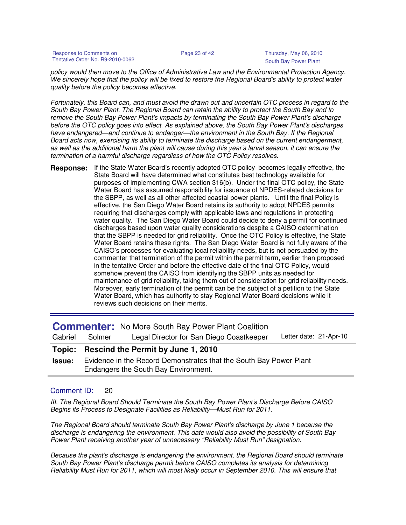Response to Comments on Page 23 of 42 Thursday, May 06, 2010 Tentative Order No. R9-2010-0062

policy would then move to the Office of Administrative Law and the Environmental Protection Agency. We sincerely hope that the policy will be fixed to restore the Regional Board's ability to protect water quality before the policy becomes effective.

Fortunately, this Board can, and must avoid the drawn out and uncertain OTC process in regard to the South Bay Power Plant. The Regional Board can retain the ability to protect the South Bay and to remove the South Bay Power Plant's impacts by terminating the South Bay Power Plant's discharge before the OTC policy goes into effect. As explained above, the South Bay Power Plant's discharges have endangered—and continue to endanger—the environment in the South Bay. If the Regional Board acts now, exercising its ability to terminate the discharge based on the current endangerment, as well as the additional harm the plant will cause during this year's larval season, it can ensure the termination of a harmful discharge regardless of how the OTC Policy resolves.

If the State Water Board's recently adopted OTC policy becomes legally effective, the State Board will have determined what constitutes best technology available for purposes of implementing CWA section 316(b). Under the final OTC policy, the State Water Board has assumed responsibility for issuance of NPDES-related decisions for the SBPP, as well as all other affected coastal power plants. Until the final Policy is effective, the San Diego Water Board retains its authority to adopt NPDES permits requiring that discharges comply with applicable laws and regulations in protecting water quality. The San Diego Water Board could decide to deny a permit for continued discharges based upon water quality considerations despite a CAISO determination that the SBPP is needed for grid reliability. Once the OTC Policy is effective, the State Water Board retains these rights. The San Diego Water Board is not fully aware of the CAISO's processes for evaluating local reliability needs, but is not persuaded by the commenter that termination of the permit within the permit term, earlier than proposed in the tentative Order and before the effective date of the final OTC Policy, would somehow prevent the CAISO from identifying the SBPP units as needed for maintenance of grid reliability, taking them out of consideration for grid reliability needs. Moreover, early termination of the permit can be the subject of a petition to the State Water Board, which has authority to stay Regional Water Board decisions while it reviews such decisions on their merits. **Response:**

|               |                                                                                                            | <b>Commenter:</b> No More South Bay Power Plant Coalition |                        |
|---------------|------------------------------------------------------------------------------------------------------------|-----------------------------------------------------------|------------------------|
| Gabriel       | Solmer                                                                                                     | Legal Director for San Diego Coastkeeper                  | Letter date: 21-Apr-10 |
|               |                                                                                                            | Topic: Rescind the Permit by June 1, 2010                 |                        |
| <b>Issue:</b> | Evidence in the Record Demonstrates that the South Bay Power Plant<br>Endangers the South Bay Environment. |                                                           |                        |

## Comment ID: 20

III. The Regional Board Should Terminate the South Bay Power Plant's Discharge Before CAISO Begins its Process to Designate Facilities as Reliability—Must Run for 2011.

The Regional Board should terminate South Bay Power Plant's discharge by June 1 because the discharge is endangering the environment. This date would also avoid the possibility of South Bay Power Plant receiving another year of unnecessary "Reliability Must Run" designation.

Because the plant's discharge is endangering the environment, the Regional Board should terminate South Bay Power Plant's discharge permit before CAISO completes its analysis for determining Reliability Must Run for 2011, which will most likely occur in September 2010. This will ensure that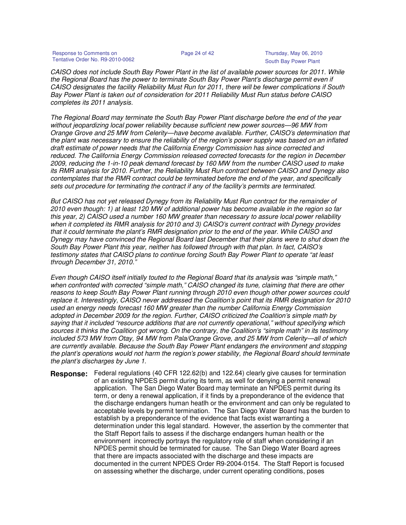Response to Comments on **Page 24 of 42** Thursday, May 06, 2010<br>
Tentative Order No. R9-2010-0062 Tentative Order No. R9-2010-0062

South Bay Power Plant

CAISO does not include South Bay Power Plant in the list of available power sources for 2011. While the Regional Board has the power to terminate South Bay Power Plant's discharge permit even if CAISO designates the facility Reliability Must Run for 2011, there will be fewer complications if South Bay Power Plant is taken out of consideration for 2011 Reliability Must Run status before CAISO completes its 2011 analysis.

The Regional Board may terminate the South Bay Power Plant discharge before the end of the year without jeopardizing local power reliability because sufficient new power sources—96 MW from Orange Grove and 25 MW from Celerity—have become available. Further, CAISO's determination that the plant was necessary to ensure the reliability of the region's power supply was based on an inflated draft estimate of power needs that the California Energy Commission has since corrected and reduced. The California Energy Commission released corrected forecasts for the region in December 2009, reducing the 1-in-10 peak demand forecast by 160 MW from the number CAISO used to make its RMR analysis for 2010. Further, the Reliability Must Run contract between CAISO and Dynegy also contemplates that the RMR contract could be terminated before the end of the year, and specifically sets out procedure for terminating the contract if any of the facility's permits are terminated.

But CAISO has not yet released Dynegy from its Reliability Must Run contract for the remainder of 2010 even though: 1) at least 120 MW of additional power has become available in the region so far this year, 2) CAISO used a number 160 MW greater than necessary to assure local power reliability when it completed its RMR analysis for 2010 and 3) CAISO's current contract with Dynegy provides that it could terminate the plant's RMR designation prior to the end of the year. While CAISO and Dynegy may have convinced the Regional Board last December that their plans were to shut down the South Bay Power Plant this year, neither has followed through with that plan. In fact, CAISO's testimony states that CAISO plans to continue forcing South Bay Power Plant to operate "at least through December 31, 2010."

Even though CAISO itself initially touted to the Regional Board that its analysis was "simple math," when confronted with corrected "simple math," CAISO changed its tune, claiming that there are other reasons to keep South Bay Power Plant running through 2010 even though other power sources could replace it. Interestingly, CAISO never addressed the Coalition's point that its RMR designation for 2010 used an energy needs forecast 160 MW greater than the number California Energy Commission adopted in December 2009 for the region. Further, CAISO criticized the Coalition's simple math by saying that it included "resource additions that are not currently operational," without specifying which sources it thinks the Coalition got wrong. On the contrary, the Coalition's "simple math" in its testimony included 573 MW from Otay, 94 MW from Pala/Orange Grove, and 25 MW from Celerity—all of which are currently available. Because the South Bay Power Plant endangers the environment and stopping the plant's operations would not harm the region's power stability, the Regional Board should terminate the plant's discharges by June 1.

Federal regulations (40 CFR 122.62(b) and 122.64) clearly give causes for termination of an existing NPDES permit during its term, as well for denying a permit renewal application. The San Diego Water Board may terminate an NPDES permit during its term, or deny a renewal application, if it finds by a preponderance of the evidence that the discharge endangers human heatlh or the environment and can only be regulated to acceptable levels by permit termination. The San Diego Water Board has the burden to establish by a preponderance of the evidence that facts exist warranting a determination under this legal standard. However, the assertion by the commenter that the Staff Report fails to assess if the discharge endangers human health or the environment incorrectly portrays the regulatory role of staff when considering if an NPDES permit should be terminated for cause. The San Diego Water Board agrees that there are impacts associated with the discharge and these impacts are documented in the current NPDES Order R9-2004-0154. The Staff Report is focused on assessing whether the discharge, under current operating conditions, poses **Response:**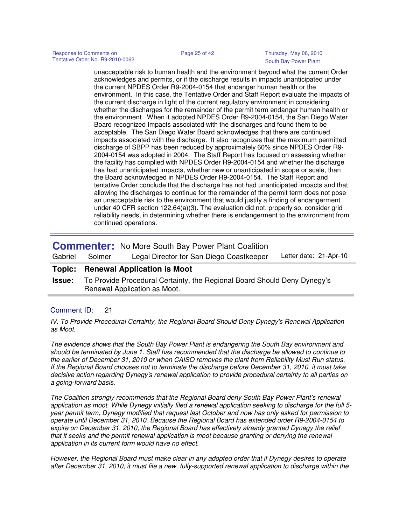unacceptable risk to human health and the environment beyond what the current Order acknowledges and permits, or if the discharge results in impacts unanticipated under the current NPDES Order R9-2004-0154 that endanger human health or the environment. In this case, the Tentative Order and Staff Report evaluate the impacts of the current discharge in light of the current regulatory environment in considering whether the discharges for the remainder of the permit term endanger human health or the environment. When it adopted NPDES Order R9-2004-0154, the San Diego Water Board recognized Impacts associated with the discharges and found them to be acceptable. The San Diego Water Board acknowledges that there are continued impacts associated with the discharge. It also recognizes that the maximum permitted discharge of SBPP has been reduced by approximately 60% since NPDES Order R9- 2004-0154 was adopted in 2004. The Staff Report has focused on assessing whether the facility has complied with NPDES Order R9-2004-0154 and whether the discharge has had unanticipated impacts, whether new or unanticipated in scope or scale, than the Board acknowledged in NPDES Order R9-2004-0154. The Staff Report and tentative Order conclude that the discharge has not had unanticipated impacts and that allowing the discharges to continue for the remainder of the permit term does not pose an unacceptable risk to the environment that would justify a finding of endangerment under 40 CFR section 122.64(a)(3). The evaluation did not, properly so, consider grid reliability needs, in determining whether there is endangerment to the environment from continued operations.

| Gabriel       | Solmer                                                                                                   | <b>Commenter:</b> No More South Bay Power Plant Coalition<br>Legal Director for San Diego Coastkeeper | Letter date: 21-Apr-10 |
|---------------|----------------------------------------------------------------------------------------------------------|-------------------------------------------------------------------------------------------------------|------------------------|
| Topic:        |                                                                                                          | <b>Renewal Application is Moot</b>                                                                    |                        |
| <b>Issue:</b> | To Provide Procedural Certainty, the Regional Board Should Deny Dynegy's<br>Renewal Application as Moot. |                                                                                                       |                        |

## Comment ID: 21

IV. To Provide Procedural Certainty, the Regional Board Should Deny Dynegy's Renewal Application as Moot.

The evidence shows that the South Bay Power Plant is endangering the South Bay environment and should be terminated by June 1. Staff has recommended that the discharge be allowed to continue to the earlier of December 31, 2010 or when CAISO removes the plant from Reliability Must Run status. If the Regional Board chooses not to terminate the discharge before December 31, 2010, it must take decisive action regarding Dynegy's renewal application to provide procedural certainty to all parties on a going-forward basis.

The Coalition strongly recommends that the Regional Board deny South Bay Power Plant's renewal application as moot. While Dynegy initially filed a renewal application seeking to discharge for the full 5 year permit term, Dynegy modified that request last October and now has only asked for permission to operate until December 31, 2010. Because the Regional Board has extended order R9-2004-0154 to expire on December 31, 2010, the Regional Board has effectively already granted Dynegy the relief that it seeks and the permit renewal application is moot because granting or denying the renewal application in its current form would have no effect.

However, the Regional Board must make clear in any adopted order that if Dynegy desires to operate after December 31, 2010, it must file a new, fully-supported renewal application to discharge within the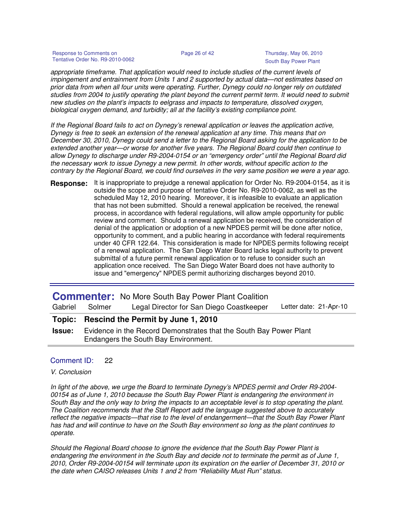Response to Comments on Page 26 of 42 Thursday, May 06, 2010 Tentative Order No. R9-2010-0062 South Bay Power Plant

appropriate timeframe. That application would need to include studies of the current levels of impingement and entrainment from Units 1 and 2 supported by actual data—not estimates based on prior data from when all four units were operating. Further, Dynegy could no longer rely on outdated studies from 2004 to justify operating the plant beyond the current permit term. It would need to submit new studies on the plant's impacts to eelgrass and impacts to temperature, dissolved oxygen, biological oxygen demand, and turbidity; all at the facility's existing compliance point.

If the Regional Board fails to act on Dynegy's renewal application or leaves the application active, Dynegy is free to seek an extension of the renewal application at any time. This means that on December 30, 2010, Dynegy could send a letter to the Regional Board asking for the application to be extended another year—or worse for another five years. The Regional Board could then continue to allow Dynegy to discharge under R9-2004-0154 or an "emergency order" until the Regional Board did the necessary work to issue Dynegy a new permit. In other words, without specific action to the contrary by the Regional Board, we could find ourselves in the very same position we were a year ago.

**Response:** It is inappropriate to prejudge a renewal application for Order No. R9-2004-0154, as it is outside the scope and purpose of tentative Order No. R9-2010-0062, as well as the scheduled May 12, 2010 hearing. Moreover, it is infeasible to evaluate an application that has not been submitted. Should a renewal application be received, the renewal process, in accordance with federal regulations, will allow ample opportunity for public review and comment. Should a renewal application be received, the consideration of denial of the application or adoption of a new NPDES permit will be done after notice, opportunity to comment, and a public hearing in accordance with federal requirements under 40 CFR 122.64. This consideration is made for NPDES permits following receipt of a renewal application. The San Diego Water Board lacks legal authority to prevent submittal of a future permit renewal application or to refuse to consider such an application once received. The San Diego Water Board does not have authority to issue and "emergency" NPDES permit authorizing discharges beyond 2010.

| Gabriel       | Solmer                                                                                                     | <b>Commenter:</b> No More South Bay Power Plant Coalition<br>Legal Director for San Diego Coastkeeper | Letter date: 21-Apr-10 |
|---------------|------------------------------------------------------------------------------------------------------------|-------------------------------------------------------------------------------------------------------|------------------------|
|               |                                                                                                            | Topic: Rescind the Permit by June 1, 2010                                                             |                        |
| <b>Issue:</b> | Evidence in the Record Demonstrates that the South Bay Power Plant<br>Endangers the South Bay Environment. |                                                                                                       |                        |

## Comment ID: 22

### V. Conclusion

In light of the above, we urge the Board to terminate Dynegy's NPDES permit and Order R9-2004- 00154 as of June 1, 2010 because the South Bay Power Plant is endangering the environment in South Bay and the only way to bring the impacts to an acceptable level is to stop operating the plant. The Coalition recommends that the Staff Report add the language suggested above to accurately reflect the negative impacts—that rise to the level of endangerment—that the South Bay Power Plant has had and will continue to have on the South Bay environment so long as the plant continues to operate.

Should the Regional Board choose to ignore the evidence that the South Bay Power Plant is endangering the environment in the South Bay and decide not to terminate the permit as of June 1, 2010, Order R9-2004-00154 will terminate upon its expiration on the earlier of December 31, 2010 or the date when CAISO releases Units 1 and 2 from "Reliability Must Run" status.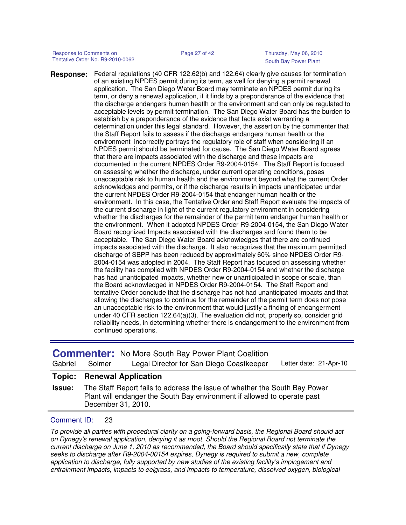Response to Comments on Page 27 of 42 Thursday, May 06, 2010 Tentative Order No. R9-2010-0062 South Bay Power Plant

Federal regulations (40 CFR 122.62(b) and 122.64) clearly give causes for termination of an existing NPDES permit during its term, as well for denying a permit renewal application. The San Diego Water Board may terminate an NPDES permit during its term, or deny a renewal application, if it finds by a preponderance of the evidence that the discharge endangers human heatlh or the environment and can only be regulated to acceptable levels by permit termination. The San Diego Water Board has the burden to establish by a preponderance of the evidence that facts exist warranting a determination under this legal standard. However, the assertion by the commenter that the Staff Report fails to assess if the discharge endangers human health or the environment incorrectly portrays the regulatory role of staff when considering if an NPDES permit should be terminated for cause. The San Diego Water Board agrees that there are impacts associated with the discharge and these impacts are documented in the current NPDES Order R9-2004-0154. The Staff Report is focused on assessing whether the discharge, under current operating conditions, poses unacceptable risk to human health and the environment beyond what the current Order acknowledges and permits, or if the discharge results in impacts unanticipated under the current NPDES Order R9-2004-0154 that endanger human health or the environment. In this case, the Tentative Order and Staff Report evaluate the impacts of the current discharge in light of the current regulatory environment in considering whether the discharges for the remainder of the permit term endanger human health or the environment. When it adopted NPDES Order R9-2004-0154, the San Diego Water Board recognized Impacts associated with the discharges and found them to be acceptable. The San Diego Water Board acknowledges that there are continued impacts associated with the discharge. It also recognizes that the maximum permitted discharge of SBPP has been reduced by approximately 60% since NPDES Order R9- 2004-0154 was adopted in 2004. The Staff Report has focused on assessing whether the facility has complied with NPDES Order R9-2004-0154 and whether the discharge has had unanticipated impacts, whether new or unanticipated in scope or scale, than the Board acknowledged in NPDES Order R9-2004-0154. The Staff Report and tentative Order conclude that the discharge has not had unanticipated impacts and that allowing the discharges to continue for the remainder of the permit term does not pose an unacceptable risk to the environment that would justify a finding of endangerment under 40 CFR section 122.64(a)(3). The evaluation did not, properly so, consider grid reliability needs, in determining whether there is endangerment to the environment from continued operations. **Response:**

| Gabriel       | Solmer             | <b>Commenter:</b> No More South Bay Power Plant Coalition<br>Legal Director for San Diego Coastkeeper                                                  | Letter date: 21-Apr-10 |
|---------------|--------------------|--------------------------------------------------------------------------------------------------------------------------------------------------------|------------------------|
| Topic:        |                    | <b>Renewal Application</b>                                                                                                                             |                        |
| <b>Issue:</b> | December 31, 2010. | The Staff Report fails to address the issue of whether the South Bay Power<br>Plant will endanger the South Bay environment if allowed to operate past |                        |

### Comment ID: 23

To provide all parties with procedural clarity on a going-forward basis, the Regional Board should act on Dynegy's renewal application, denying it as moot. Should the Regional Board not terminate the current discharge on June 1, 2010 as recommended, the Board should specifically state that if Dynegy seeks to discharge after R9-2004-00154 expires, Dynegy is required to submit a new, complete application to discharge, fully supported by new studies of the existing facility's impingement and entrainment impacts, impacts to eelgrass, and impacts to temperature, dissolved oxygen, biological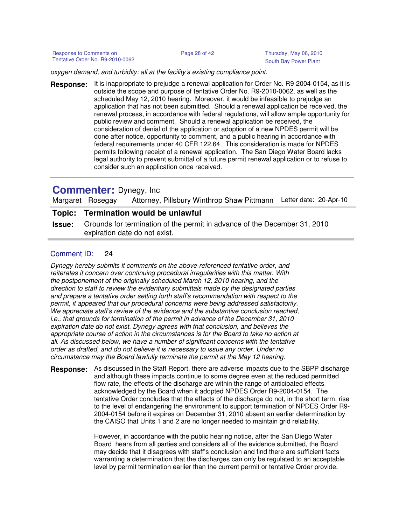oxygen demand, and turbidity; all at the facility's existing compliance point.

It is inappropriate to prejudge a renewal application for Order No. R9-2004-0154, as it is outside the scope and purpose of tentative Order No. R9-2010-0062, as well as the scheduled May 12, 2010 hearing. Moreover, it would be infeasible to prejudge an application that has not been submitted. Should a renewal application be received, the renewal process, in accordance with federal regulations, will allow ample opportunity for public review and comment. Should a renewal application be received, the consideration of denial of the application or adoption of a new NPDES permit will be done after notice, opportunity to comment, and a public hearing in accordance with federal requirements under 40 CFR 122.64. This consideration is made for NPDES permits following receipt of a renewal application. The San Diego Water Board lacks legal authority to prevent submittal of a future permit renewal application or to refuse to consider such an application once received. **Response:**

## **Commenter:** Dynegy, Inc

Margaret Rosegay Attorney, Pillsbury Winthrop Shaw Pittmann Letter date: 20-Apr-10

## **Topic: Termination would be unlawful**

**Issue:** Grounds for termination of the permit in advance of the December 31, 2010 expiration date do not exist.

## Comment ID: 24

Dynegy hereby submits it comments on the above-referenced tentative order, and reiterates it concern over continuing procedural irregularities with this matter. With the postponement of the originally scheduled March 12, 2010 hearing, and the direction to staff to review the evidentiary submittals made by the designated parties and prepare a tentative order setting forth staff's recommendation with respect to the permit, it appeared that our procedural concerns were being addressed satisfactorily. We appreciate staff's review of the evidence and the substantive conclusion reached, i.e., that grounds for termination of the permit in advance of the December 31, 2010 expiration date do not exist. Dynegy agrees with that conclusion, and believes the appropriate course of action in the circumstances is for the Board to take no action at all. As discussed below, we have a number of significant concerns with the tentative order as drafted, and do not believe it is necessary to issue any order. Under no circumstance may the Board lawfully terminate the permit at the May 12 hearing.

**Response:** As discussed in the Staff Report, there are adverse impacts due to the SBPP discharge and although these impacts continue to some degree even at the reduced permitted flow rate, the effects of the discharge are within the range of anticipated effects acknowledged by the Board when it adopted NPDES Order R9-2004-0154. The tentative Order concludes that the effects of the discharge do not, in the short term, rise to the level of endangering the environment to support termination of NPDES Order R9- 2004-0154 before it expires on December 31, 2010 absent an earlier determination by the CAISO that Units 1 and 2 are no longer needed to maintain grid reliability.

> However, in accordance with the public hearing notice, after the San Diego Water Board hears from all parties and considers all of the evidence submitted, the Board may decide that it disagrees with staff's conclusion and find there are sufficient facts warranting a determination that the discharges can only be regulated to an acceptable level by permit termination earlier than the current permit or tentative Order provide.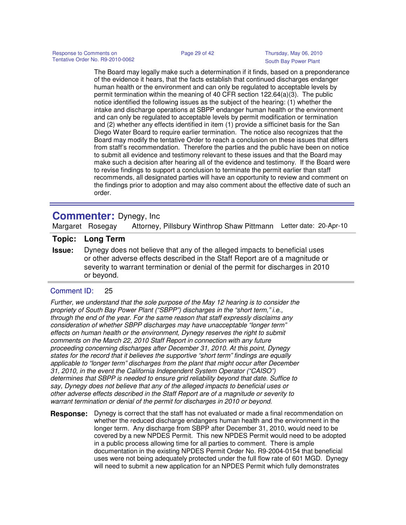The Board may legally make such a determination if it finds, based on a preponderance of the evidence it hears, that the facts establish that continued discharges endanger human health or the environment and can only be regulated to acceptable levels by permit termination within the meaning of 40 CFR section 122.64(a)(3). The public notice identified the following issues as the subject of the hearing: (1) whether the intake and discharge operations at SBPP endanger human health or the environment and can only be regulated to acceptable levels by permit modification or termination and (2) whether any effects identified in item (1) provide a sifficinet basis for the San Diego Water Board to require earlier termination. The notice also recognizes that the Board may modify the tentative Order to reach a conclusion on these issues that differs from staff's recommendation. Therefore the parties and the public have been on notice to submit all evidence and testimony relevant to these issues and that the Board may make such a decision after hearing all of the evidence and testimony. If the Board were to revise findings to support a conclusion to terminate the permit earlier than staff recommends, all designated parties will have an opportunity to review and comment on the findings prior to adoption and may also comment about the effective date of such an order.

## **Commenter:** Dynegy, Inc

Margaret Rosegay Attorney, Pillsbury Winthrop Shaw Pittmann Letter date: 20-Apr-10

## **Topic: Long Term**

**Issue:** Dynegy does not believe that any of the alleged impacts to beneficial uses or other adverse effects described in the Staff Report are of a magnitude or severity to warrant termination or denial of the permit for discharges in 2010 or beyond.

## Comment ID: 25

Further, we understand that the sole purpose of the May 12 hearing is to consider the propriety of South Bay Power Plant ("SBPP") discharges in the "short term," i.e., through the end of the year. For the same reason that staff expressly disclaims any consideration of whether SBPP discharges may have unacceptable "longer term" effects on human health or the environment, Dynegy reserves the right to submit comments on the March 22, 2010 Staff Report in connection with any future proceeding concerning discharges after December 31, 2010. At this point, Dynegy states for the record that it believes the supportive "short term" findings are equally applicable to "longer term" discharges from the plant that might occur after December 31, 2010, in the event the California Independent System Operator ("CAISO") determines that SBPP is needed to ensure grid reliability beyond that date. Suffice to say, Dynegy does not believe that any of the alleged impacts to beneficial uses or other adverse effects described in the Staff Report are of a magnitude or severity to warrant termination or denial of the permit for discharges in 2010 or beyond.

**Response:** Dynegy is correct that the staff has not evaluated or made a final recommendation on whether the reduced discharge endangers human health and the environment in the longer term. Any discharge from SBPP after December 31, 2010, would need to be covered by a new NPDES Permit. This new NPDES Permit would need to be adopted in a public process allowing time for all parties to comment. There is ample documentation in the existing NPDES Permit Order No. R9-2004-0154 that beneficial uses were not being adequately protected under the full flow rate of 601 MGD. Dynegy will need to submit a new application for an NPDES Permit which fully demonstrates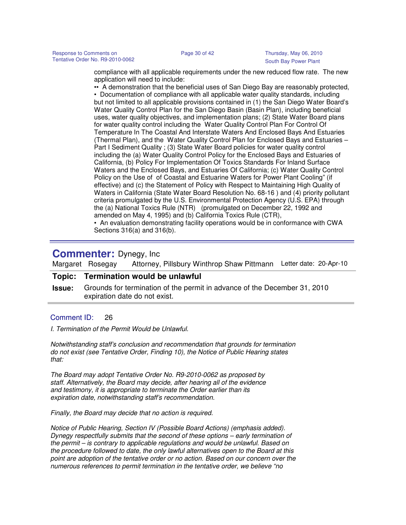compliance with all applicable requirements under the new reduced flow rate. The new application will need to include:

•• A demonstration that the beneficial uses of San Diego Bay are reasonably protected, • Documentation of compliance with all applicable water quality standards, including but not limited to all applicable provisions contained in (1) the San Diego Water Board's Water Quality Control Plan for the San Diego Basin (Basin Plan), including beneficial uses, water quality objectives, and implementation plans; (2) State Water Board plans for water quality control including the Water Quality Control Plan For Control Of Temperature In The Coastal And Interstate Waters And Enclosed Bays And Estuaries (Thermal Plan), and the Water Quality Control Plan for Enclosed Bays and Estuaries – Part I Sediment Quality ; (3) State Water Board policies for water quality control including the (a) Water Quality Control Policy for the Enclosed Bays and Estuaries of California, (b) Policy For Implementation Of Toxics Standards For Inland Surface Waters and the Enclosed Bays, and Estuaries Of California; (c) Water Quality Control Policy on the Use of of Coastal and Estuarine Waters for Power Plant Cooling" (if effective) and (c) the Statement of Policy with Respect to Maintaining High Quality of Waters in California (State Water Board Resolution No. 68-16 ) and (4) priority pollutant criteria promulgated by the U.S. Environmental Protection Agency (U.S. EPA) through the (a) National Toxics Rule (NTR) (promulgated on December 22, 1992 and amended on May 4, 1995) and (b) California Toxics Rule (CTR),

• An evaluation demonstrating facility operations would be in conformance with CWA Sections 316(a) and 316(b).

## **Commenter:** Dynegy, Inc

Margaret Rosegay Attorney, Pillsbury Winthrop Shaw Pittmann Letter date: 20-Apr-10

## **Topic: Termination would be unlawful**

**Issue:** Grounds for termination of the permit in advance of the December 31, 2010 expiration date do not exist.

### Comment ID: 26

I. Termination of the Permit Would be Unlawful.

Notwithstanding staff's conclusion and recommendation that grounds for termination do not exist (see Tentative Order, Finding 10), the Notice of Public Hearing states that:

The Board may adopt Tentative Order No. R9-2010-0062 as proposed by staff. Alternatively, the Board may decide, after hearing all of the evidence and testimony, it is appropriate to terminate the Order earlier than its expiration date, notwithstanding staff's recommendation.

Finally, the Board may decide that no action is required.

Notice of Public Hearing, Section IV (Possible Board Actions) (emphasis added). Dynegy respectfully submits that the second of these options – early termination of the permit – is contrary to applicable regulations and would be unlawful. Based on the procedure followed to date, the only lawful alternatives open to the Board at this point are adoption of the tentative order or no action. Based on our concern over the numerous references to permit termination in the tentative order, we believe "no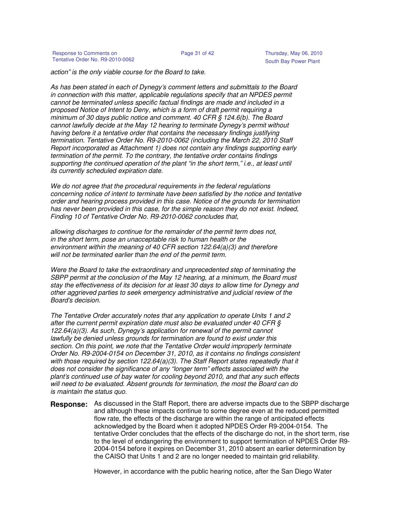action" is the only viable course for the Board to take.

As has been stated in each of Dynegy's comment letters and submittals to the Board in connection with this matter, applicable regulations specify that an NPDES permit cannot be terminated unless specific factual findings are made and included in a proposed Notice of Intent to Deny, which is a form of draft permit requiring a minimum of 30 days public notice and comment. 40 CFR § 124.6(b). The Board cannot lawfully decide at the May 12 hearing to terminate Dynegy's permit without having before it a tentative order that contains the necessary findings justifying termination. Tentative Order No. R9-2010-0062 (including the March 22, 2010 Staff Report incorporated as Attachment 1) does not contain any findings supporting early termination of the permit. To the contrary, the tentative order contains findings supporting the continued operation of the plant "in the short term," i.e., at least until its currently scheduled expiration date.

We do not agree that the procedural requirements in the federal regulations concerning notice of intent to terminate have been satisfied by the notice and tentative order and hearing process provided in this case. Notice of the grounds for termination has never been provided in this case, for the simple reason they do not exist. Indeed, Finding 10 of Tentative Order No. R9-2010-0062 concludes that,

allowing discharges to continue for the remainder of the permit term does not, in the short term, pose an unacceptable risk to human health or the environment within the meaning of 40 CFR section 122.64(a)(3) and therefore will not be terminated earlier than the end of the permit term.

Were the Board to take the extraordinary and unprecedented step of terminating the SBPP permit at the conclusion of the May 12 hearing, at a minimum, the Board must stay the effectiveness of its decision for at least 30 days to allow time for Dynegy and other aggrieved parties to seek emergency administrative and judicial review of the Board's decision.

The Tentative Order accurately notes that any application to operate Units 1 and 2 after the current permit expiration date must also be evaluated under 40 CFR § 122.64(a)(3). As such, Dynegy's application for renewal of the permit cannot lawfully be denied unless grounds for termination are found to exist under this section. On this point, we note that the Tentative Order would improperly terminate Order No. R9-2004-0154 on December 31, 2010, as it contains no findings consistent with those required by section  $122.64(a)(3)$ . The Staff Report states repeatedly that it does not consider the significance of any "longer term" effects associated with the plant's continued use of bay water for cooling beyond 2010, and that any such effects will need to be evaluated. Absent grounds for termination, the most the Board can do is maintain the status quo.

**Response:** As discussed in the Staff Report, there are adverse impacts due to the SBPP discharge and although these impacts continue to some degree even at the reduced permitted flow rate, the effects of the discharge are within the range of anticipated effects acknowledged by the Board when it adopted NPDES Order R9-2004-0154. The tentative Order concludes that the effects of the discharge do not, in the short term, rise to the level of endangering the environment to support termination of NPDES Order R9- 2004-0154 before it expires on December 31, 2010 absent an earlier determination by the CAISO that Units 1 and 2 are no longer needed to maintain grid reliability.

However, in accordance with the public hearing notice, after the San Diego Water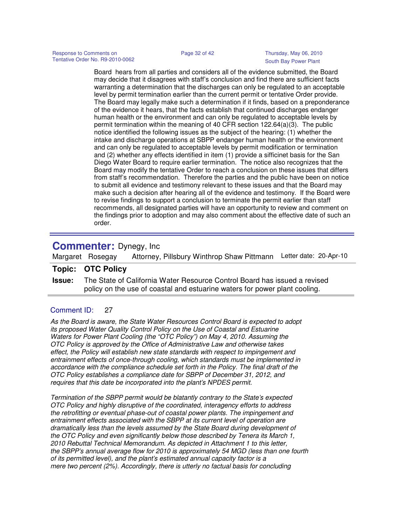Board hears from all parties and considers all of the evidence submitted, the Board may decide that it disagrees with staff's conclusion and find there are sufficient facts warranting a determination that the discharges can only be regulated to an acceptable level by permit termination earlier than the current permit or tentative Order provide. The Board may legally make such a determination if it finds, based on a preponderance of the evidence it hears, that the facts establish that continued discharges endanger human health or the environment and can only be regulated to acceptable levels by permit termination within the meaning of 40 CFR section 122.64(a)(3). The public notice identified the following issues as the subject of the hearing: (1) whether the intake and discharge operations at SBPP endanger human health or the environment and can only be regulated to acceptable levels by permit modification or termination and (2) whether any effects identified in item (1) provide a sifficinet basis for the San Diego Water Board to require earlier termination. The notice also recognizes that the Board may modify the tentative Order to reach a conclusion on these issues that differs from staff's recommendation. Therefore the parties and the public have been on notice to submit all evidence and testimony relevant to these issues and that the Board may make such a decision after hearing all of the evidence and testimony. If the Board were to revise findings to support a conclusion to terminate the permit earlier than staff recommends, all designated parties will have an opportunity to review and comment on the findings prior to adoption and may also comment about the effective date of such an order.

## **Commenter:** Dynegy, Inc

Margaret Rosegay Attorney, Pillsbury Winthrop Shaw Pittmann Letter date: 20-Apr-10

## **Topic: OTC Policy**

**Issue:** The State of California Water Resource Control Board has issued a revised policy on the use of coastal and estuarine waters for power plant cooling.

## Comment ID: 27

As the Board is aware, the State Water Resources Control Board is expected to adopt its proposed Water Quality Control Policy on the Use of Coastal and Estuarine Waters for Power Plant Cooling (the "OTC Policy") on May 4, 2010. Assuming the OTC Policy is approved by the Office of Administrative Law and otherwise takes effect, the Policy will establish new state standards with respect to impingement and entrainment effects of once-through cooling, which standards must be implemented in accordance with the compliance schedule set forth in the Policy. The final draft of the OTC Policy establishes a compliance date for SBPP of December 31, 2012, and requires that this date be incorporated into the plant's NPDES permit.

Termination of the SBPP permit would be blatantly contrary to the State's expected OTC Policy and highly disruptive of the coordinated, interagency efforts to address the retrofitting or eventual phase-out of coastal power plants. The impingement and entrainment effects associated with the SBPP at its current level of operation are dramatically less than the levels assumed by the State Board during development of the OTC Policy and even significantly below those described by Tenera its March 1, 2010 Rebuttal Technical Memorandum. As depicted in Attachment 1 to this letter, the SBPP's annual average flow for 2010 is approximately 54 MGD (less than one fourth of its permitted level), and the plant's estimated annual capacity factor is a mere two percent (2%). Accordingly, there is utterly no factual basis for concluding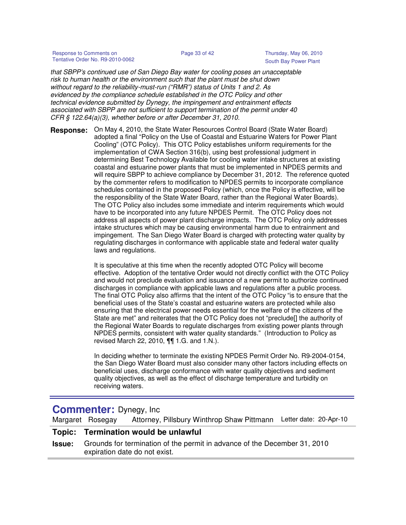Response to Comments on Page 33 of 42 Thursday, May 06, 2010 Tentative Order No. R9-2010-0062 South Bay Power Plant

that SBPP's continued use of San Diego Bay water for cooling poses an unacceptable risk to human health or the environment such that the plant must be shut down without regard to the reliability-must-run ("RMR") status of Units 1 and 2. As evidenced by the compliance schedule established in the OTC Policy and other technical evidence submitted by Dynegy, the impingement and entrainment effects associated with SBPP are not sufficient to support termination of the permit under 40 CFR § 122.64(a)(3), whether before or after December 31, 2010.

**Response:** On May 4, 2010, the State Water Resources Control Board (State Water Board) adopted a final "Policy on the Use of Coastal and Estuarine Waters for Power Plant Cooling" (OTC Policy). This OTC Policy establishes uniform requirements for the implementation of CWA Section 316(b), using best professional judgment in determining Best Technology Available for cooling water intake structures at existing coastal and estuarine power plants that must be implemented in NPDES permits and will require SBPP to achieve compliance by December 31, 2012. The reference quoted by the commenter refers to modification to NPDES permits to incorporate compliance schedules contained in the proposed Policy (which, once the Policy is effective, will be the responsibility of the State Water Board, rather than the Regional Water Boards). The OTC Policy also includes some immediate and interim requirements which would have to be incorporated into any future NPDES Permit. The OTC Policy does not address all aspects of power plant discharge impacts. The OTC Policy only addresses intake structures which may be causing environmental harm due to entrainment and impingement. The San Diego Water Board is charged with protecting water quality by regulating discharges in conformance with applicable state and federal water quality laws and regulations.

> It is speculative at this time when the recently adopted OTC Policy will become effective. Adoption of the tentative Order would not directly conflict with the OTC Policy and would not preclude evaluation and issuance of a new permit to authorize continued discharges in compliance with applicable laws and regulations after a public process. The final OTC Policy also affirms that the intent of the OTC Policy "is to ensure that the beneficial uses of the State's coastal and estuarine waters are protected while also ensuring that the electrical power needs essential for the welfare of the citizens of the State are met" and reiterates that the OTC Policy does not "preclude[] the authority of the Regional Water Boards to regulate discharges from existing power plants through NPDES permits, consistent with water quality standards." (Introduction to Policy as revised March 22, 2010, ¶¶ 1.G. and 1.N.).

> In deciding whether to terminate the existing NPDES Permit Order No. R9-2004-0154, the San Diego Water Board must also consider many other factors including effects on beneficial uses, discharge conformance with water quality objectives and sediment quality objectives, as well as the effect of discharge temperature and turbidity on receiving waters.

## **Commenter:** Dynegy, Inc

Margaret Rosegay Attorney, Pillsbury Winthrop Shaw Pittmann Letter date: 20-Apr-10

## **Topic: Termination would be unlawful**

**Issue:** Grounds for termination of the permit in advance of the December 31, 2010 expiration date do not exist.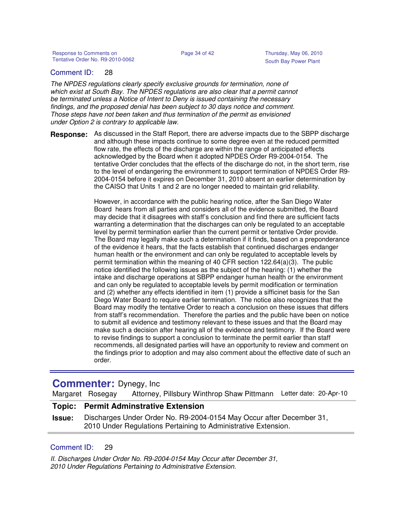## Comment ID: 28

The NPDES regulations clearly specify exclusive grounds for termination, none of which exist at South Bay. The NPDES regulations are also clear that a permit cannot be terminated unless a Notice of Intent to Deny is issued containing the necessary findings, and the proposed denial has been subject to 30 days notice and comment. Those steps have not been taken and thus termination of the permit as envisioned under Option 2 is contrary to applicable law.

**Response:** As discussed in the Staff Report, there are adverse impacts due to the SBPP discharge and although these impacts continue to some degree even at the reduced permitted flow rate, the effects of the discharge are within the range of anticipated effects acknowledged by the Board when it adopted NPDES Order R9-2004-0154. The tentative Order concludes that the effects of the discharge do not, in the short term, rise to the level of endangering the environment to support termination of NPDES Order R9- 2004-0154 before it expires on December 31, 2010 absent an earlier determination by the CAISO that Units 1 and 2 are no longer needed to maintain grid reliability.

> However, in accordance with the public hearing notice, after the San Diego Water Board hears from all parties and considers all of the evidence submitted, the Board may decide that it disagrees with staff's conclusion and find there are sufficient facts warranting a determination that the discharges can only be regulated to an acceptable level by permit termination earlier than the current permit or tentative Order provide. The Board may legally make such a determination if it finds, based on a preponderance of the evidence it hears, that the facts establish that continued discharges endanger human health or the environment and can only be regulated to acceptable levels by permit termination within the meaning of 40 CFR section 122.64(a)(3). The public notice identified the following issues as the subject of the hearing: (1) whether the intake and discharge operations at SBPP endanger human health or the environment and can only be regulated to acceptable levels by permit modification or termination and (2) whether any effects identified in item (1) provide a sifficinet basis for the San Diego Water Board to require earlier termination. The notice also recognizes that the Board may modify the tentative Order to reach a conclusion on these issues that differs from staff's recommendation. Therefore the parties and the public have been on notice to submit all evidence and testimony relevant to these issues and that the Board may make such a decision after hearing all of the evidence and testimony. If the Board were to revise findings to support a conclusion to terminate the permit earlier than staff recommends, all designated parties will have an opportunity to review and comment on the findings prior to adoption and may also comment about the effective date of such an order.

## **Commenter:** Dynegy, Inc

Margaret Rosegay Attorney, Pillsbury Winthrop Shaw Pittmann Letter date: 20-Apr-10

## **Topic: Permit Adminstrative Extension**

**Issue:** Discharges Under Order No. R9-2004-0154 May Occur after December 31, 2010 Under Regulations Pertaining to Administrative Extension.

## Comment ID: 29

II. Discharges Under Order No. R9-2004-0154 May Occur after December 31, 2010 Under Regulations Pertaining to Administrative Extension.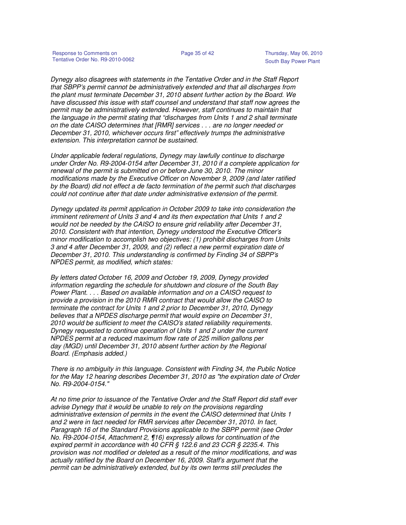Dynegy also disagrees with statements in the Tentative Order and in the Staff Report that SBPP's permit cannot be administratively extended and that all discharges from the plant must terminate December 31, 2010 absent further action by the Board. We have discussed this issue with staff counsel and understand that staff now agrees the permit may be administratively extended. However, staff continues to maintain that the language in the permit stating that "discharges from Units 1 and 2 shall terminate on the date CAISO determines that [RMR] services . . . are no longer needed or December 31, 2010, whichever occurs first" effectively trumps the administrative extension. This interpretation cannot be sustained.

Under applicable federal regulations, Dynegy may lawfully continue to discharge under Order No. R9-2004-0154 after December 31, 2010 if a complete application for renewal of the permit is submitted on or before June 30, 2010. The minor modifications made by the Executive Officer on November 9, 2009 (and later ratified by the Board) did not effect a de facto termination of the permit such that discharges could not continue after that date under administrative extension of the permit.

Dynegy updated its permit application in October 2009 to take into consideration the imminent retirement of Units 3 and 4 and its then expectation that Units 1 and 2 would not be needed by the CAISO to ensure grid reliability after December 31, 2010. Consistent with that intention, Dynegy understood the Executive Officer's minor modification to accomplish two objectives: (1) prohibit discharges from Units 3 and 4 after December 31, 2009, and (2) reflect a new permit expiration date of December 31, 2010. This understanding is confirmed by Finding 34 of SBPP's NPDES permit, as modified, which states:

By letters dated October 16, 2009 and October 19, 2009, Dynegy provided information regarding the schedule for shutdown and closure of the South Bay Power Plant. . . . Based on available information and on a CAISO request to provide a provision in the 2010 RMR contract that would allow the CAISO to terminate the contract for Units 1 and 2 prior to December 31, 2010, Dynegy believes that a NPDES discharge permit that would expire on December 31, 2010 would be sufficient to meet the CAISO's stated reliability requirements. Dynegy requested to continue operation of Units 1 and 2 under the current NPDES permit at a reduced maximum flow rate of 225 million gallons per day (MGD) until December 31, 2010 absent further action by the Regional Board. (Emphasis added.)

There is no ambiguity in this language. Consistent with Finding 34, the Public Notice for the May 12 hearing describes December 31, 2010 as "the expiration date of Order No. R9-2004-0154."

At no time prior to issuance of the Tentative Order and the Staff Report did staff ever advise Dynegy that it would be unable to rely on the provisions regarding administrative extension of permits in the event the CAISO determined that Units 1 and 2 were in fact needed for RMR services after December 31, 2010. In fact, Paragraph 16 of the Standard Provisions applicable to the SBPP permit (see Order No. R9-2004-0154, Attachment 2, ¶16) expressly allows for continuation of the expired permit in accordance with 40 CFR § 122.6 and 23 CCR § 2235.4. This provision was not modified or deleted as a result of the minor modifications, and was actually ratified by the Board on December 16, 2009. Staff's argument that the permit can be administratively extended, but by its own terms still precludes the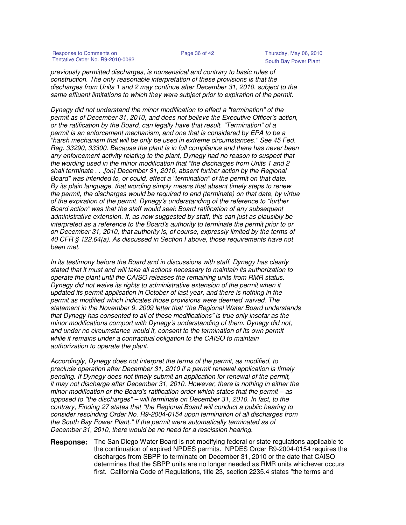Response to Comments on **Page 36 of 42** Thursday, May 06, 2010 Tentative Order No. R9-2010-0062

previously permitted discharges, is nonsensical and contrary to basic rules of construction. The only reasonable interpretation of these provisions is that the discharges from Units 1 and 2 may continue after December 31, 2010, subject to the same effluent limitations to which they were subject prior to expiration of the permit.

Dynegy did not understand the minor modification to effect a "termination" of the permit as of December 31, 2010, and does not believe the Executive Officer's action, or the ratification by the Board, can legally have that result. "Termination" of a permit is an enforcement mechanism, and one that is considered by EPA to be a "harsh mechanism that will be only be used in extreme circumstances." See 45 Fed. Reg. 33290, 33300. Because the plant is in full compliance and there has never been any enforcement activity relating to the plant, Dynegy had no reason to suspect that the wording used in the minor modification that "the discharges from Units 1 and 2 shall terminate . . .[on] December 31, 2010, absent further action by the Regional Board" was intended to, or could, effect a "termination" of the permit on that date. By its plain language, that wording simply means that absent timely steps to renew the permit, the discharges would be required to end (terminate) on that date, by virtue of the expiration of the permit. Dynegy's understanding of the reference to "further Board action" was that the staff would seek Board ratification of any subsequent administrative extension. If, as now suggested by staff, this can just as plausibly be interpreted as a reference to the Board's authority to terminate the permit prior to or on December 31, 2010, that authority is, of course, expressly limited by the terms of 40 CFR § 122.64(a). As discussed in Section I above, those requirements have not been met.

In its testimony before the Board and in discussions with staff, Dynegy has clearly stated that it must and will take all actions necessary to maintain its authorization to operate the plant until the CAISO releases the remaining units from RMR status. Dynegy did not waive its rights to administrative extension of the permit when it updated its permit application in October of last year, and there is nothing in the permit as modified which indicates those provisions were deemed waived. The statement in the November 9, 2009 letter that "the Regional Water Board understands that Dynegy has consented to all of these modifications" is true only insofar as the minor modifications comport with Dynegy's understanding of them. Dynegy did not, and under no circumstance would it, consent to the termination of its own permit while it remains under a contractual obligation to the CAISO to maintain authorization to operate the plant.

Accordingly, Dynegy does not interpret the terms of the permit, as modified, to preclude operation after December 31, 2010 if a permit renewal application is timely pending. If Dynegy does not timely submit an application for renewal of the permit, it may not discharge after December 31, 2010. However, there is nothing in either the minor modification or the Board's ratification order which states that the permit – as opposed to "the discharges" – will terminate on December 31, 2010. In fact, to the contrary, Finding 27 states that "the Regional Board will conduct a public hearing to consider rescinding Order No. R9-2004-0154 upon termination of all discharges from the South Bay Power Plant." If the permit were automatically terminated as of December 31, 2010, there would be no need for a rescission hearing.

**Response:** The San Diego Water Board is not modifying federal or state regulations applicable to the continuation of expired NPDES permits. NPDES Order R9-2004-0154 requires the discharges from SBPP to terminate on December 31, 2010 or the date that CAISO determines that the SBPP units are no longer needed as RMR units whichever occurs first. California Code of Regulations, title 23, section 2235.4 states "the terms and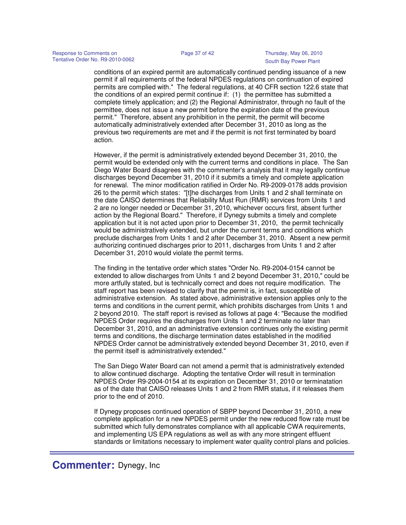conditions of an expired permit are automatically continued pending issuance of a new permit if all requirements of the federal NPDES regulations on continuation of expired permits are complied with." The federal regulations, at 40 CFR section 122.6 state that the conditions of an expired permit continue if: (1) the permittee has submitted a complete timely application; and (2) the Regional Administrator, through no fault of the permittee, does not issue a new permit before the expiration date of the previous permit." Therefore, absent any prohibition in the permit, the permit will become automatically administratively extended after December 31, 2010 as long as the previous two requirements are met and if the permit is not first terminated by board action.

However, if the permit is administratively extended beyond December 31, 2010, the permit would be extended only with the current terms and conditions in place. The San Diego Water Board disagrees with the commenter's analysis that it may legally continue discharges beyond December 31, 2010 if it submits a timely and complete application for renewal. The minor modification ratified in Order No. R9-2009-0178 adds provision 26 to the permit which states: "[t]he discharges from Units 1 and 2 shall terminate on the date CAISO determines that Reliability Must Run (RMR) services from Units 1 and 2 are no longer needed or December 31, 2010, whichever occurs first, absent further action by the Regional Board." Therefore, if Dynegy submits a timely and complete application but it is not acted upon prior to December 31, 2010, the permit technically would be administratively extended, but under the current terms and conditions which preclude discharges from Units 1 and 2 after December 31, 2010. Absent a new permit authorizing continued discharges prior to 2011, discharges from Units 1 and 2 after December 31, 2010 would violate the permit terms.

The finding in the tentative order which states "Order No. R9-2004-0154 cannot be extended to allow discharges from Units 1 and 2 beyond December 31, 2010," could be more artfully stated, but is technically correct and does not require modification. The staff report has been revised to clarify that the permit is, in fact, susceptible of administrative extension. As stated above, administrative extension applies only to the terms and conditions in the current permit, which prohibits discharges from Units 1 and 2 beyond 2010. The staff report is revised as follows at page 4: "Because the modified NPDES Order requires the discharges from Units 1 and 2 terminate no later than December 31, 2010, and an administrative extension continues only the existing permit terms and conditions, the discharge termination dates established in the modified NPDES Order cannot be administratively extended beyond December 31, 2010, even if the permit itself is administratively extended."

The San Diego Water Board can not amend a permit that is administratively extended to allow continued discharge. Adopting the tentative Order will result in termination NPDES Order R9-2004-0154 at its expiration on December 31, 2010 or terminatation as of the date that CAISO releases Units 1 and 2 from RMR status, if it releases them prior to the end of 2010.

If Dynegy proposes continued operation of SBPP beyond December 31, 2010, a new complete application for a new NPDES permit under the new reduced flow rate must be submitted which fully demonstrates compliance with all applicable CWA requirements, and implementing US EPA regulations as well as with any more stringent effluent standards or limitations necessary to implement water quality control plans and policies.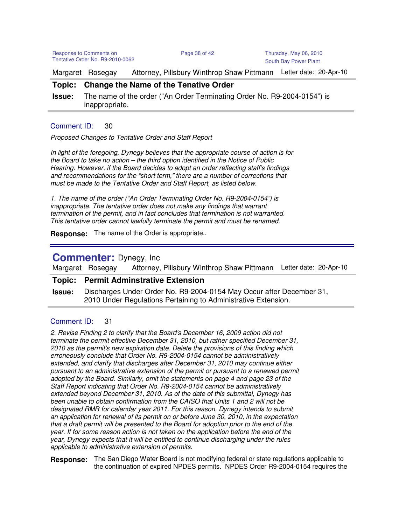Response to Comments on Page 38 of 42 Thursday, May 06, 2010 Tentative Order No. R9-2010-0062

Margaret Rosegay Attorney, Pillsbury Winthrop Shaw Pittmann Letter date: 20-Apr-10

## **Topic: Change the Name of the Tenative Order**

**Issue:** The name of the order ("An Order Terminating Order No. R9-2004-0154") is inappropriate.

## Comment ID: 30

Proposed Changes to Tentative Order and Staff Report

In light of the foregoing, Dynegy believes that the appropriate course of action is for the Board to take no action – the third option identified in the Notice of Public Hearing. However, if the Board decides to adopt an order reflecting staff's findings and recommendations for the "short term," there are a number of corrections that must be made to the Tentative Order and Staff Report, as listed below.

1. The name of the order ("An Order Terminating Order No. R9-2004-0154") is inappropriate. The tentative order does not make any findings that warrant termination of the permit, and in fact concludes that termination is not warranted. This tentative order cannot lawfully terminate the permit and must be renamed.

**Response:** The name of the Order is appropriate..

## **Commenter:** Dynegy, Inc

Margaret Rosegay Attorney, Pillsbury Winthrop Shaw Pittmann Letter date: 20-Apr-10

## **Topic: Permit Adminstrative Extension**

**Issue:** Discharges Under Order No. R9-2004-0154 May Occur after December 31, 2010 Under Regulations Pertaining to Administrative Extension.

## Comment ID: 31

2. Revise Finding 2 to clarify that the Board's December 16, 2009 action did not terminate the permit effective December 31, 2010, but rather specified December 31, 2010 as the permit's new expiration date. Delete the provisions of this finding which erroneously conclude that Order No. R9-2004-0154 cannot be administratively extended, and clarify that discharges after December 31, 2010 may continue either pursuant to an administrative extension of the permit or pursuant to a renewed permit adopted by the Board. Similarly, omit the statements on page 4 and page 23 of the Staff Report indicating that Order No. R9-2004-0154 cannot be administratively extended beyond December 31, 2010. As of the date of this submittal, Dynegy has been unable to obtain confirmation from the CAISO that Units 1 and 2 will not be designated RMR for calendar year 2011. For this reason, Dynegy intends to submit an application for renewal of its permit on or before June 30, 2010, in the expectation that a draft permit will be presented to the Board for adoption prior to the end of the year. If for some reason action is not taken on the application before the end of the year, Dynegy expects that it will be entitled to continue discharging under the rules applicable to administrative extension of permits.

**Response:** The San Diego Water Board is not modifying federal or state regulations applicable to the continuation of expired NPDES permits. NPDES Order R9-2004-0154 requires the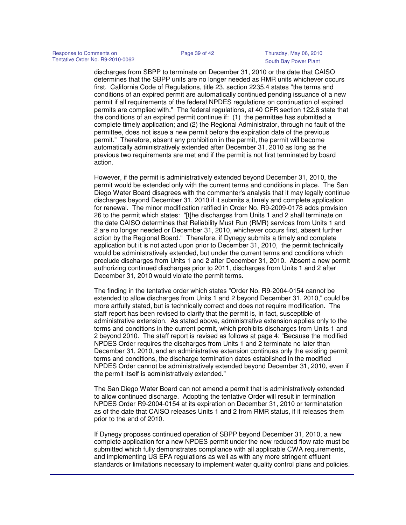discharges from SBPP to terminate on December 31, 2010 or the date that CAISO determines that the SBPP units are no longer needed as RMR units whichever occurs first. California Code of Regulations, title 23, section 2235.4 states "the terms and conditions of an expired permit are automatically continued pending issuance of a new permit if all requirements of the federal NPDES regulations on continuation of expired permits are complied with." The federal regulations, at 40 CFR section 122.6 state that the conditions of an expired permit continue if: (1) the permittee has submitted a complete timely application; and (2) the Regional Administrator, through no fault of the permittee, does not issue a new permit before the expiration date of the previous permit." Therefore, absent any prohibition in the permit, the permit will become automatically administratively extended after December 31, 2010 as long as the previous two requirements are met and if the permit is not first terminated by board action.

However, if the permit is administratively extended beyond December 31, 2010, the permit would be extended only with the current terms and conditions in place. The San Diego Water Board disagrees with the commenter's analysis that it may legally continue discharges beyond December 31, 2010 if it submits a timely and complete application for renewal. The minor modification ratified in Order No. R9-2009-0178 adds provision 26 to the permit which states: "[t]he discharges from Units 1 and 2 shall terminate on the date CAISO determines that Reliability Must Run (RMR) services from Units 1 and 2 are no longer needed or December 31, 2010, whichever occurs first, absent further action by the Regional Board." Therefore, if Dynegy submits a timely and complete application but it is not acted upon prior to December 31, 2010, the permit technically would be administratively extended, but under the current terms and conditions which preclude discharges from Units 1 and 2 after December 31, 2010. Absent a new permit authorizing continued discharges prior to 2011, discharges from Units 1 and 2 after December 31, 2010 would violate the permit terms.

The finding in the tentative order which states "Order No. R9-2004-0154 cannot be extended to allow discharges from Units 1 and 2 beyond December 31, 2010," could be more artfully stated, but is technically correct and does not require modification. The staff report has been revised to clarify that the permit is, in fact, susceptible of administrative extension. As stated above, administrative extension applies only to the terms and conditions in the current permit, which prohibits discharges from Units 1 and 2 beyond 2010. The staff report is revised as follows at page 4: "Because the modified NPDES Order requires the discharges from Units 1 and 2 terminate no later than December 31, 2010, and an administrative extension continues only the existing permit terms and conditions, the discharge termination dates established in the modified NPDES Order cannot be administratively extended beyond December 31, 2010, even if the permit itself is administratively extended."

The San Diego Water Board can not amend a permit that is administratively extended to allow continued discharge. Adopting the tentative Order will result in termination NPDES Order R9-2004-0154 at its expiration on December 31, 2010 or terminatation as of the date that CAISO releases Units 1 and 2 from RMR status, if it releases them prior to the end of 2010.

If Dynegy proposes continued operation of SBPP beyond December 31, 2010, a new complete application for a new NPDES permit under the new reduced flow rate must be submitted which fully demonstrates compliance with all applicable CWA requirements, and implementing US EPA regulations as well as with any more stringent effluent standards or limitations necessary to implement water quality control plans and policies.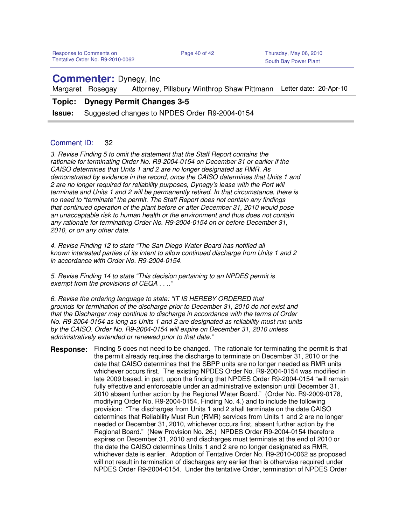## **Commenter:** Dynegy, Inc

Margaret Rosegay Attorney, Pillsbury Winthrop Shaw Pittmann Letter date: 20-Apr-10

## **Topic: Dynegy Permit Changes 3-5**

**Issue:** Suggested changes to NPDES Order R9-2004-0154

## Comment ID: 32

3. Revise Finding 5 to omit the statement that the Staff Report contains the rationale for terminating Order No. R9-2004-0154 on December 31 or earlier if the CAISO determines that Units 1 and 2 are no longer designated as RMR. As demonstrated by evidence in the record, once the CAISO determines that Units 1 and 2 are no longer required for reliability purposes, Dynegy's lease with the Port will terminate and Units 1 and 2 will be permanently retired. In that circumstance, there is no need to "terminate" the permit. The Staff Report does not contain any findings that continued operation of the plant before or after December 31, 2010 would pose an unacceptable risk to human health or the environment and thus does not contain any rationale for terminating Order No. R9-2004-0154 on or before December 31, 2010, or on any other date.

4. Revise Finding 12 to state "The San Diego Water Board has notified all known interested parties of its intent to allow continued discharge from Units 1 and 2 in accordance with Order No. R9-2004-0154.

5. Revise Finding 14 to state "This decision pertaining to an NPDES permit is exempt from the provisions of CEQA . . .."

6. Revise the ordering language to state: "IT IS HEREBY ORDERED that grounds for termination of the discharge prior to December 31, 2010 do not exist and that the Discharger may continue to discharge in accordance with the terms of Order No. R9-2004-0154 as long as Units 1 and 2 are designated as reliability must run units by the CAISO. Order No. R9-2004-0154 will expire on December 31, 2010 unless administratively extended or renewed prior to that date."

Finding 5 does not need to be changed. The rationale for terminating the permit is that the permit already requires the discharge to terminate on December 31, 2010 or the date that CAISO determines that the SBPP units are no longer needed as RMR units whichever occurs first. The existing NPDES Order No. R9-2004-0154 was modified in late 2009 based, in part, upon the finding that NPDES Order R9-2004-0154 "will remain fully effective and enforceable under an administrative extension until December 31, 2010 absent further action by the Regional Water Board." (Order No. R9-2009-0178, modifying Order No. R9-2004-0154, Finding No. 4.) and to include the following provision: "The discharges from Units 1 and 2 shall terminate on the date CAISO determines that Reliability Must Run (RMR) services from Units 1 and 2 are no longer needed or December 31, 2010, whichever occurs first, absent further action by the Regional Board." (New Provision No. 26.) NPDES Order R9-2004-0154 therefore expires on December 31, 2010 and discharges must terminate at the end of 2010 or the date the CAISO determines Units 1 and 2 are no longer designated as RMR, whichever date is earlier. Adoption of Tentative Order No. R9-2010-0062 as proposed will not result in termination of discharges any earlier than is otherwise required under NPDES Order R9-2004-0154. Under the tentative Order, termination of NPDES Order **Response:**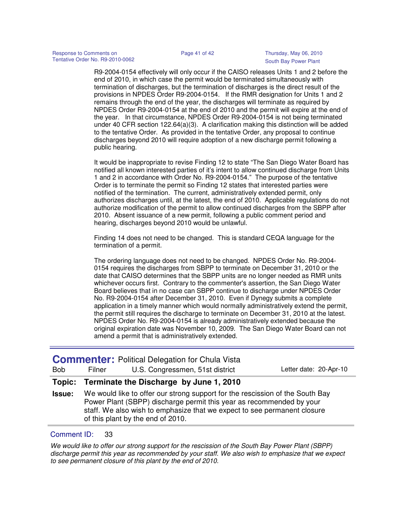R9-2004-0154 effectively will only occur if the CAISO releases Units 1 and 2 before the end of 2010, in which case the permit would be terminated simultaneously with termination of discharges, but the termination of discharges is the direct result of the provisions in NPDES Order R9-2004-0154. If the RMR designation for Units 1 and 2 remains through the end of the year, the discharges will terminate as required by NPDES Order R9-2004-0154 at the end of 2010 and the permit will expire at the end of the year. In that circumstance, NPDES Order R9-2004-0154 is not being terminated under 40 CFR section 122.64(a)(3). A clarification making this distinction will be added to the tentative Order. As provided in the tentative Order, any proposal to continue discharges beyond 2010 will require adoption of a new discharge permit following a public hearing.

It would be inappropriate to revise Finding 12 to state "The San Diego Water Board has notified all known interested parties of it's intent to allow continued discharge from Units 1 and 2 in accordance with Order No. R9-2004-0154." The purpose of the tentative Order is to terminate the permit so Finding 12 states that interested parties were notified of the termination. The current, administratively extended permit, only authorizes discharges until, at the latest, the end of 2010. Applicable regulations do not authorize modification of the permit to allow continued discharges from the SBPP after 2010. Absent issuance of a new permit, following a public comment period and hearing, discharges beyond 2010 would be unlawful.

Finding 14 does not need to be changed. This is standard CEQA language for the termination of a permit.

The ordering language does not need to be changed. NPDES Order No. R9-2004- 0154 requires the discharges from SBPP to terminate on December 31, 2010 or the date that CAISO determines that the SBPP units are no longer needed as RMR units whichever occurs first. Contrary to the commenter's assertion, the San Diego Water Board believes that in no case can SBPP continue to discharge under NPDES Order No. R9-2004-0154 after December 31, 2010. Even if Dynegy submits a complete application in a timely manner which would normally administratively extend the permit, the permit still requires the discharge to terminate on December 31, 2010 at the latest. NPDES Order No. R9-2004-0154 is already administratively extended because the original expiration date was November 10, 2009. The San Diego Water Board can not amend a permit that is administratively extended.

| Terminate the Discharge by June 1, 2010<br>Topic:<br>We would like to offer our strong support for the rescission of the South Bay<br><b>Issue:</b><br>Power Plant (SBPP) discharge permit this year as recommended by your<br>staff. We also wish to emphasize that we expect to see permanent closure<br>of this plant by the end of 2010. | <b>Bob</b> | Filner | <b>Commenter: Political Delegation for Chula Vista</b><br>U.S. Congressmen, 51st district | Letter date: 20-Apr-10 |
|----------------------------------------------------------------------------------------------------------------------------------------------------------------------------------------------------------------------------------------------------------------------------------------------------------------------------------------------|------------|--------|-------------------------------------------------------------------------------------------|------------------------|
|                                                                                                                                                                                                                                                                                                                                              |            |        |                                                                                           |                        |
|                                                                                                                                                                                                                                                                                                                                              |            |        |                                                                                           |                        |

## Comment ID: 33

We would like to offer our strong support for the rescission of the South Bay Power Plant (SBPP) discharge permit this year as recommended by your staff. We also wish to emphasize that we expect to see permanent closure of this plant by the end of 2010.